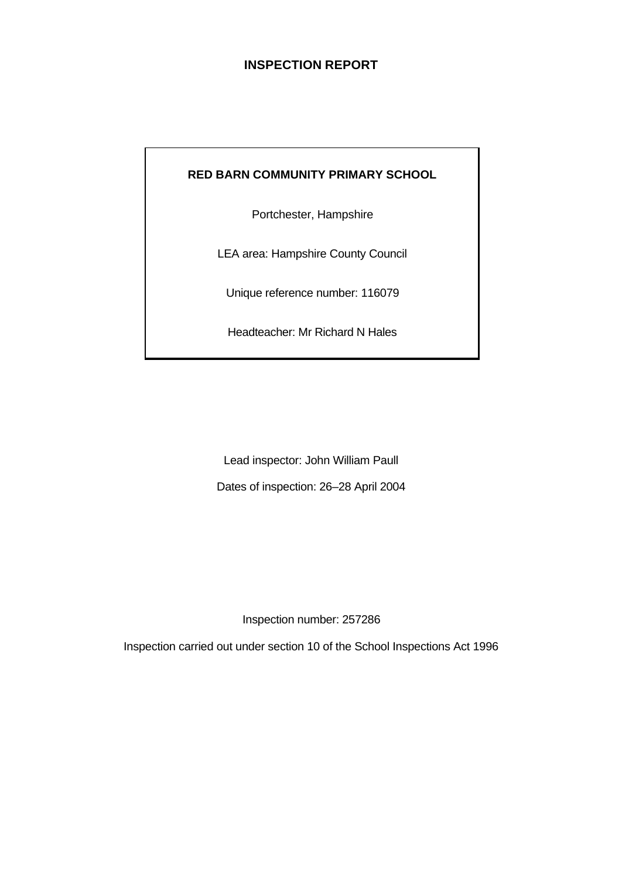## **INSPECTION REPORT**

## **RED BARN COMMUNITY PRIMARY SCHOOL**

Portchester, Hampshire

LEA area: Hampshire County Council

Unique reference number: 116079

Headteacher: Mr Richard N Hales

Lead inspector: John William Paull Dates of inspection: 26–28 April 2004

Inspection number: 257286

Inspection carried out under section 10 of the School Inspections Act 1996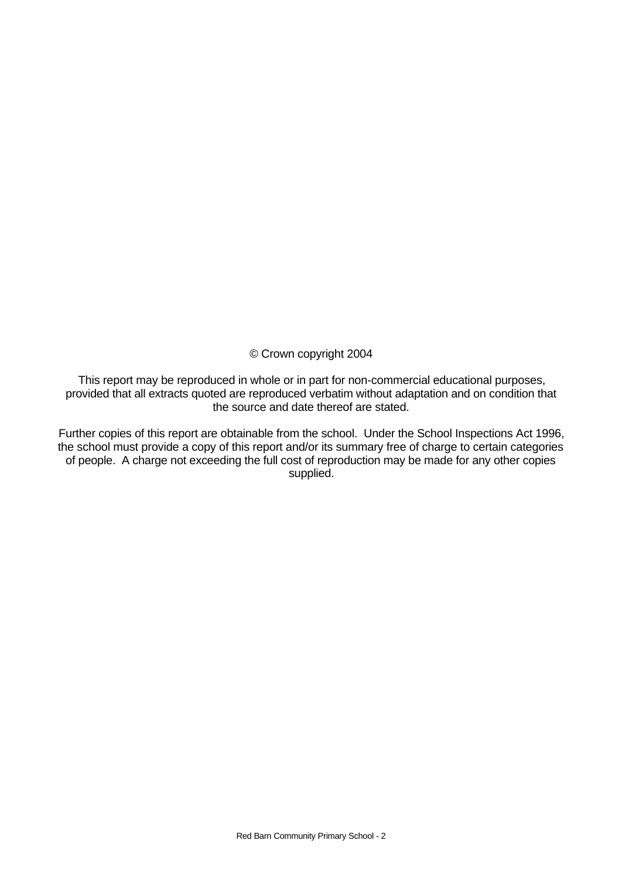© Crown copyright 2004

This report may be reproduced in whole or in part for non-commercial educational purposes, provided that all extracts quoted are reproduced verbatim without adaptation and on condition that the source and date thereof are stated.

Further copies of this report are obtainable from the school. Under the School Inspections Act 1996, the school must provide a copy of this report and/or its summary free of charge to certain categories of people. A charge not exceeding the full cost of reproduction may be made for any other copies supplied.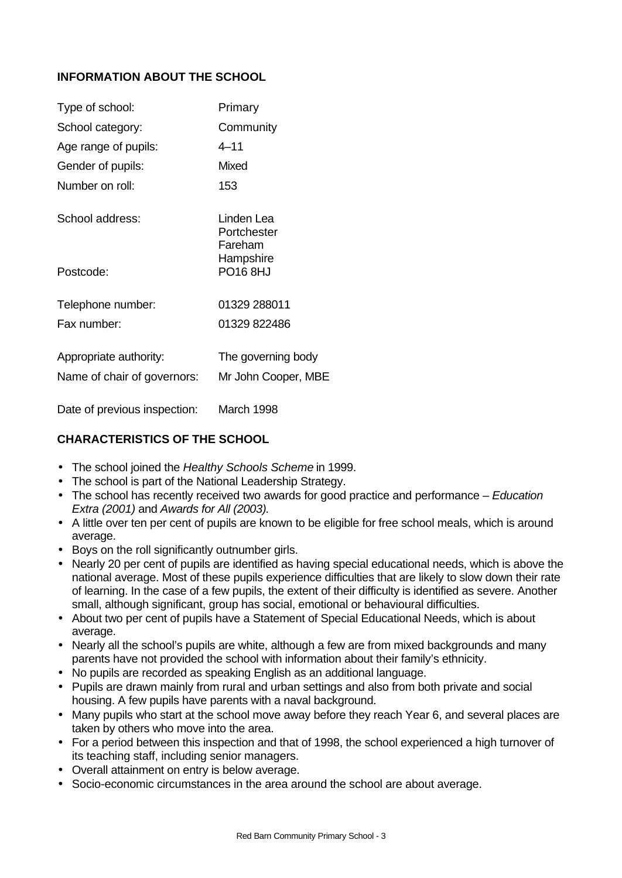## **INFORMATION ABOUT THE SCHOOL**

| Type of school:             | Primary                              |
|-----------------------------|--------------------------------------|
| School category:            | Community                            |
| Age range of pupils:        | $4 - 11$                             |
| Gender of pupils:           | Mixed                                |
| Number on roll:             | 153                                  |
| School address:             | Linden Lea<br>Portchester<br>Fareham |
| Postcode:                   | Hampshire<br>PO16 8HJ                |
| Telephone number:           | 01329 288011                         |
| Fax number:                 | 01329 822486                         |
| Appropriate authority:      | The governing body                   |
| Name of chair of governors: | Mr John Cooper, MBE                  |
|                             |                                      |

Date of previous inspection: March 1998

## **CHARACTERISTICS OF THE SCHOOL**

- The school joined the *Healthy Schools Scheme* in 1999.
- The school is part of the National Leadership Strategy.
- The school has recently received two awards for good practice and performance – *Education Extra (2001)* and *Awards for All (2003).*
- A little over ten per cent of pupils are known to be eligible for free school meals, which is around average.
- Boys on the roll significantly outnumber girls.
- Nearly 20 per cent of pupils are identified as having special educational needs, which is above the national average. Most of these pupils experience difficulties that are likely to slow down their rate of learning. In the case of a few pupils, the extent of their difficulty is identified as severe. Another small, although significant, group has social, emotional or behavioural difficulties.
- About two per cent of pupils have a Statement of Special Educational Needs, which is about average.
- Nearly all the school's pupils are white, although a few are from mixed backgrounds and many parents have not provided the school with information about their family's ethnicity.
- No pupils are recorded as speaking English as an additional language.
- Pupils are drawn mainly from rural and urban settings and also from both private and social housing. A few pupils have parents with a naval background.
- Many pupils who start at the school move away before they reach Year 6, and several places are taken by others who move into the area.
- For a period between this inspection and that of 1998, the school experienced a high turnover of its teaching staff, including senior managers.
- Overall attainment on entry is below average.
- Socio-economic circumstances in the area around the school are about average.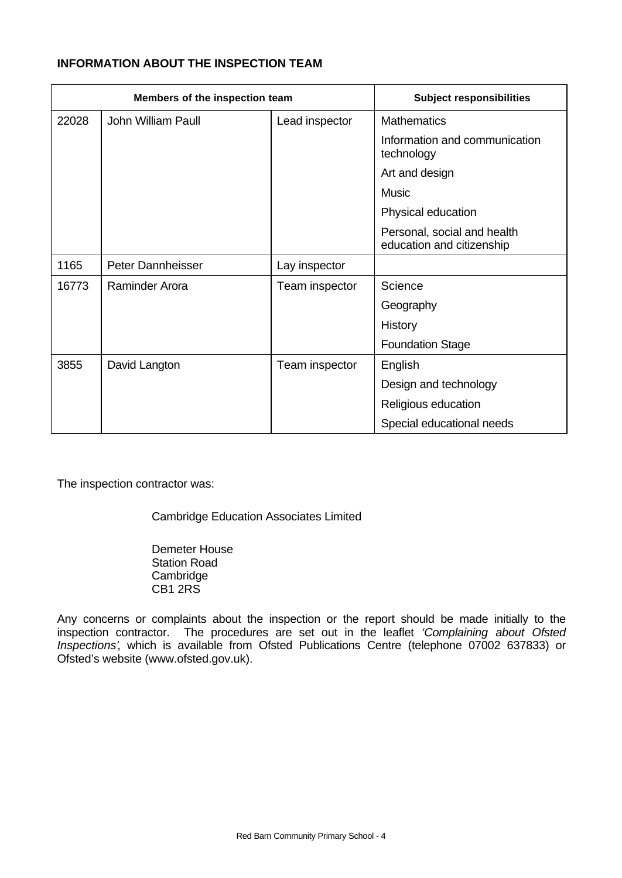## **INFORMATION ABOUT THE INSPECTION TEAM**

| Members of the inspection team |                          |                | <b>Subject responsibilities</b>                          |  |
|--------------------------------|--------------------------|----------------|----------------------------------------------------------|--|
| 22028                          | John William Paull       | Lead inspector | <b>Mathematics</b>                                       |  |
|                                |                          |                | Information and communication<br>technology              |  |
|                                |                          |                | Art and design                                           |  |
|                                |                          |                | <b>Music</b>                                             |  |
|                                |                          |                | Physical education                                       |  |
|                                |                          |                | Personal, social and health<br>education and citizenship |  |
| 1165                           | <b>Peter Dannheisser</b> | Lay inspector  |                                                          |  |
| 16773                          | Raminder Arora           | Team inspector | Science                                                  |  |
|                                |                          |                | Geography                                                |  |
|                                |                          |                | History                                                  |  |
|                                |                          |                | <b>Foundation Stage</b>                                  |  |
| 3855                           | David Langton            | Team inspector | English                                                  |  |
|                                |                          |                | Design and technology                                    |  |
|                                |                          |                | Religious education                                      |  |
|                                |                          |                | Special educational needs                                |  |

The inspection contractor was:

Cambridge Education Associates Limited

Demeter House Station Road **Cambridge** CB1 2RS

Any concerns or complaints about the inspection or the report should be made initially to the inspection contractor. The procedures are set out in the leaflet *'Complaining about Ofsted Inspections'*, which is available from Ofsted Publications Centre (telephone 07002 637833) or Ofsted's website (www.ofsted.gov.uk).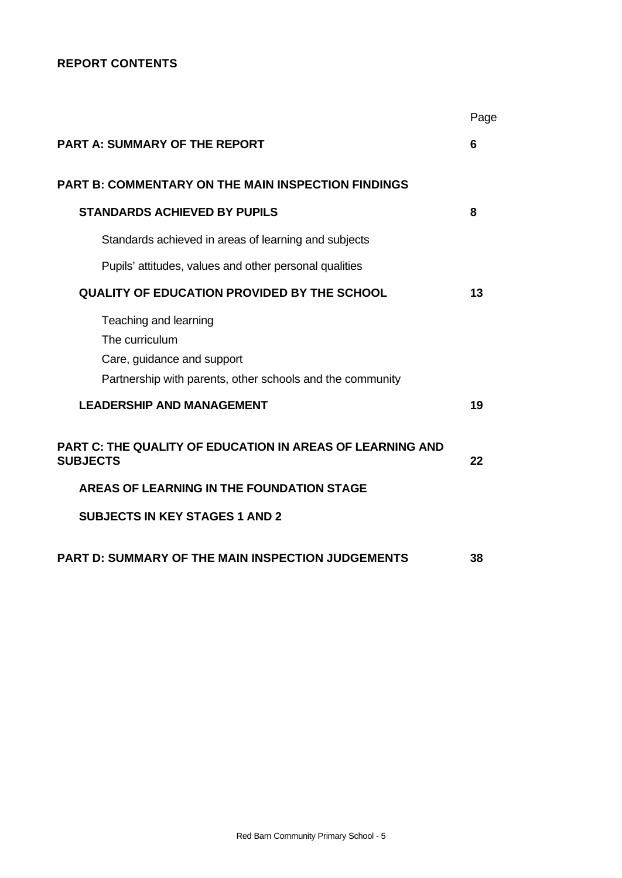## **REPORT CONTENTS**

|                                                                                                                                    | Page |
|------------------------------------------------------------------------------------------------------------------------------------|------|
| <b>PART A: SUMMARY OF THE REPORT</b>                                                                                               | 6    |
| <b>PART B: COMMENTARY ON THE MAIN INSPECTION FINDINGS</b>                                                                          |      |
| <b>STANDARDS ACHIEVED BY PUPILS</b>                                                                                                | 8    |
| Standards achieved in areas of learning and subjects                                                                               |      |
| Pupils' attitudes, values and other personal qualities                                                                             |      |
| <b>QUALITY OF EDUCATION PROVIDED BY THE SCHOOL</b>                                                                                 | 13   |
| Teaching and learning<br>The curriculum<br>Care, guidance and support<br>Partnership with parents, other schools and the community |      |
| <b>LEADERSHIP AND MANAGEMENT</b>                                                                                                   | 19   |
| <b>PART C: THE QUALITY OF EDUCATION IN AREAS OF LEARNING AND</b><br><b>SUBJECTS</b>                                                | 22   |
| AREAS OF LEARNING IN THE FOUNDATION STAGE                                                                                          |      |
| <b>SUBJECTS IN KEY STAGES 1 AND 2</b>                                                                                              |      |
| <b>PART D: SUMMARY OF THE MAIN INSPECTION JUDGEMENTS</b>                                                                           | 38   |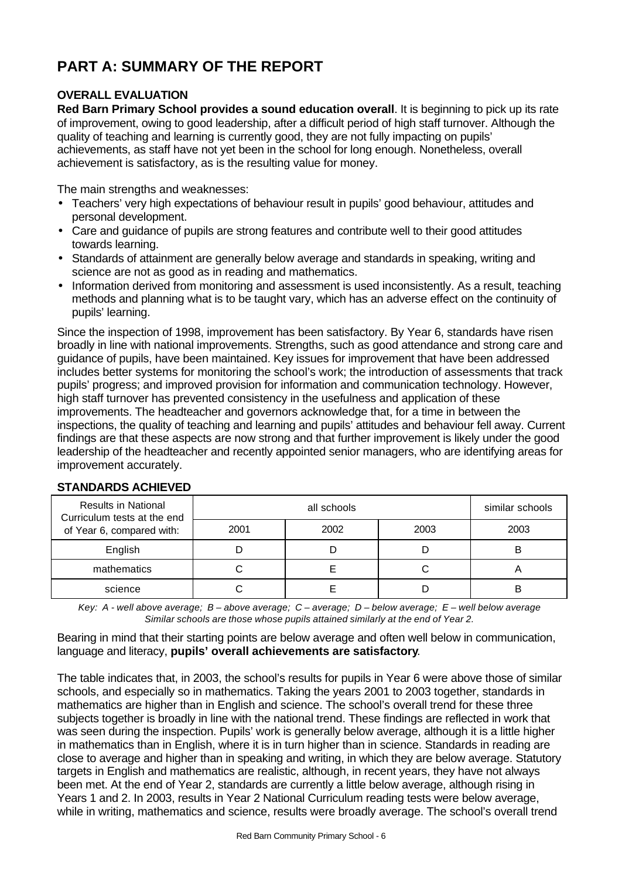# **PART A: SUMMARY OF THE REPORT**

## **OVERALL EVALUATION**

**Red Barn Primary School provides a sound education overall**. It is beginning to pick up its rate of improvement, owing to good leadership, after a difficult period of high staff turnover. Although the quality of teaching and learning is currently good, they are not fully impacting on pupils' achievements, as staff have not yet been in the school for long enough. Nonetheless, overall achievement is satisfactory, as is the resulting value for money.

The main strengths and weaknesses:

- Teachers' very high expectations of behaviour result in pupils' good behaviour, attitudes and personal development.
- Care and guidance of pupils are strong features and contribute well to their good attitudes towards learning.
- Standards of attainment are generally below average and standards in speaking, writing and science are not as good as in reading and mathematics.
- Information derived from monitoring and assessment is used inconsistently. As a result, teaching methods and planning what is to be taught vary, which has an adverse effect on the continuity of pupils' learning.

Since the inspection of 1998, improvement has been satisfactory. By Year 6, standards have risen broadly in line with national improvements. Strengths, such as good attendance and strong care and guidance of pupils, have been maintained. Key issues for improvement that have been addressed includes better systems for monitoring the school's work; the introduction of assessments that track pupils' progress; and improved provision for information and communication technology. However, high staff turnover has prevented consistency in the usefulness and application of these improvements. The headteacher and governors acknowledge that, for a time in between the inspections, the quality of teaching and learning and pupils' attitudes and behaviour fell away. Current findings are that these aspects are now strong and that further improvement is likely under the good leadership of the headteacher and recently appointed senior managers, who are identifying areas for improvement accurately.

| <b>Results in National</b><br>Curriculum tests at the end |      | similar schools |      |      |
|-----------------------------------------------------------|------|-----------------|------|------|
| of Year 6, compared with:                                 | 2001 | 2002            | 2003 | 2003 |
| English                                                   |      |                 |      | R    |
| mathematics                                               |      |                 |      |      |
| science                                                   |      |                 |      |      |

## **STANDARDS ACHIEVED**

*Key: A - well above average; B – above average; C – average; D – below average; E – well below average Similar schools are those whose pupils attained similarly at the end of Year 2.*

Bearing in mind that their starting points are below average and often well below in communication, language and literacy, **pupils' overall achievements are satisfactory**.

The table indicates that, in 2003, the school's results for pupils in Year 6 were above those of similar schools, and especially so in mathematics. Taking the years 2001 to 2003 together, standards in mathematics are higher than in English and science. The school's overall trend for these three subjects together is broadly in line with the national trend. These findings are reflected in work that was seen during the inspection. Pupils' work is generally below average, although it is a little higher in mathematics than in English, where it is in turn higher than in science. Standards in reading are close to average and higher than in speaking and writing, in which they are below average. Statutory targets in English and mathematics are realistic, although, in recent years, they have not always been met. At the end of Year 2, standards are currently a little below average, although rising in Years 1 and 2. In 2003, results in Year 2 National Curriculum reading tests were below average, while in writing, mathematics and science, results were broadly average. The school's overall trend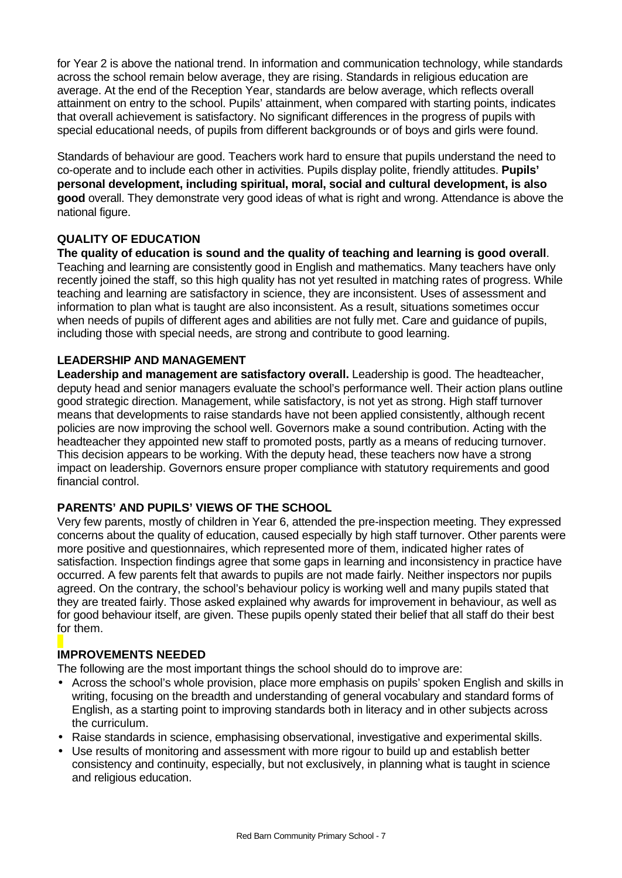for Year 2 is above the national trend. In information and communication technology, while standards across the school remain below average, they are rising. Standards in religious education are average. At the end of the Reception Year, standards are below average, which reflects overall attainment on entry to the school. Pupils' attainment, when compared with starting points, indicates that overall achievement is satisfactory. No significant differences in the progress of pupils with special educational needs, of pupils from different backgrounds or of boys and girls were found.

Standards of behaviour are good. Teachers work hard to ensure that pupils understand the need to co-operate and to include each other in activities. Pupils display polite, friendly attitudes. **Pupils' personal development, including spiritual, moral, social and cultural development, is also good** overall. They demonstrate very good ideas of what is right and wrong. Attendance is above the national figure.

## **QUALITY OF EDUCATION**

**The quality of education is sound and the quality of teaching and learning is good overall**. Teaching and learning are consistently good in English and mathematics. Many teachers have only recently joined the staff, so this high quality has not yet resulted in matching rates of progress. While teaching and learning are satisfactory in science, they are inconsistent. Uses of assessment and information to plan what is taught are also inconsistent. As a result, situations sometimes occur when needs of pupils of different ages and abilities are not fully met. Care and guidance of pupils, including those with special needs, are strong and contribute to good learning.

## **LEADERSHIP AND MANAGEMENT**

**Leadership and management are satisfactory overall.** Leadership is good. The headteacher, deputy head and senior managers evaluate the school's performance well. Their action plans outline good strategic direction. Management, while satisfactory, is not yet as strong. High staff turnover means that developments to raise standards have not been applied consistently, although recent policies are now improving the school well. Governors make a sound contribution. Acting with the headteacher they appointed new staff to promoted posts, partly as a means of reducing turnover. This decision appears to be working. With the deputy head, these teachers now have a strong impact on leadership. Governors ensure proper compliance with statutory requirements and good financial control.

## **PARENTS' AND PUPILS' VIEWS OF THE SCHOOL**

Very few parents, mostly of children in Year 6, attended the pre-inspection meeting. They expressed concerns about the quality of education, caused especially by high staff turnover. Other parents were more positive and questionnaires, which represented more of them, indicated higher rates of satisfaction. Inspection findings agree that some gaps in learning and inconsistency in practice have occurred. A few parents felt that awards to pupils are not made fairly. Neither inspectors nor pupils agreed. On the contrary, the school's behaviour policy is working well and many pupils stated that they are treated fairly. Those asked explained why awards for improvement in behaviour, as well as for good behaviour itself, are given. These pupils openly stated their belief that all staff do their best for them.

## **IMPROVEMENTS NEEDED**

The following are the most important things the school should do to improve are:

- Across the school's whole provision, place more emphasis on pupils' spoken English and skills in writing, focusing on the breadth and understanding of general vocabulary and standard forms of English, as a starting point to improving standards both in literacy and in other subjects across the curriculum.
- Raise standards in science, emphasising observational, investigative and experimental skills.
- Use results of monitoring and assessment with more rigour to build up and establish better consistency and continuity, especially, but not exclusively, in planning what is taught in science and religious education.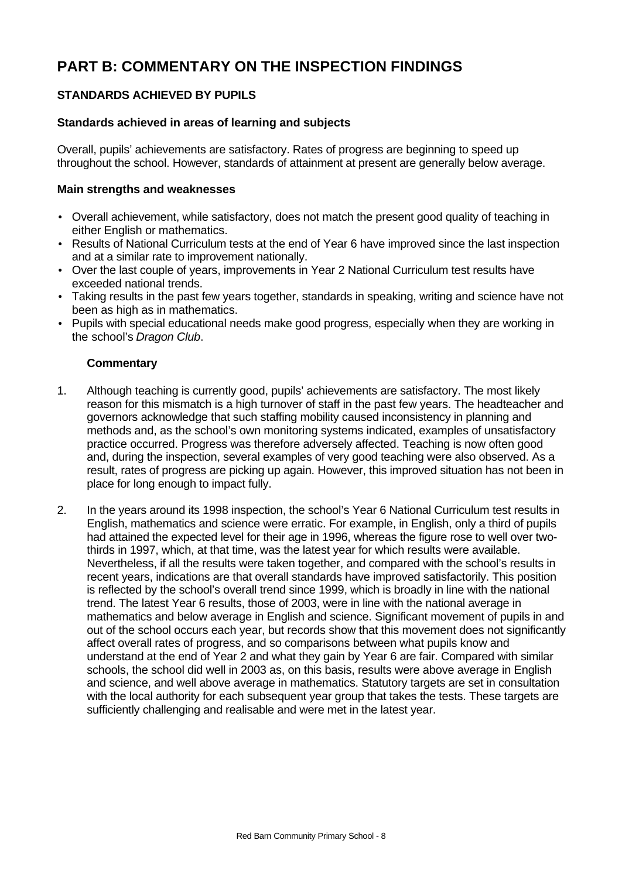# **PART B: COMMENTARY ON THE INSPECTION FINDINGS**

## **STANDARDS ACHIEVED BY PUPILS**

## **Standards achieved in areas of learning and subjects**

Overall, pupils' achievements are satisfactory. Rates of progress are beginning to speed up throughout the school. However, standards of attainment at present are generally below average.

#### **Main strengths and weaknesses**

- Overall achievement, while satisfactory, does not match the present good quality of teaching in either English or mathematics.
- Results of National Curriculum tests at the end of Year 6 have improved since the last inspection and at a similar rate to improvement nationally.
- Over the last couple of years, improvements in Year 2 National Curriculum test results have exceeded national trends.
- Taking results in the past few years together, standards in speaking, writing and science have not been as high as in mathematics.
- Pupils with special educational needs make good progress, especially when they are working in the school's *Dragon Club*.

- 1. Although teaching is currently good, pupils' achievements are satisfactory. The most likely reason for this mismatch is a high turnover of staff in the past few years. The headteacher and governors acknowledge that such staffing mobility caused inconsistency in planning and methods and, as the school's own monitoring systems indicated, examples of unsatisfactory practice occurred. Progress was therefore adversely affected. Teaching is now often good and, during the inspection, several examples of very good teaching were also observed. As a result, rates of progress are picking up again. However, this improved situation has not been in place for long enough to impact fully.
- 2. In the years around its 1998 inspection, the school's Year 6 National Curriculum test results in English, mathematics and science were erratic. For example, in English, only a third of pupils had attained the expected level for their age in 1996, whereas the figure rose to well over twothirds in 1997, which, at that time, was the latest year for which results were available. Nevertheless, if all the results were taken together, and compared with the school's results in recent years, indications are that overall standards have improved satisfactorily. This position is reflected by the school's overall trend since 1999, which is broadly in line with the national trend. The latest Year 6 results, those of 2003, were in line with the national average in mathematics and below average in English and science. Significant movement of pupils in and out of the school occurs each year, but records show that this movement does not significantly affect overall rates of progress, and so comparisons between what pupils know and understand at the end of Year 2 and what they gain by Year 6 are fair. Compared with similar schools, the school did well in 2003 as, on this basis, results were above average in English and science, and well above average in mathematics. Statutory targets are set in consultation with the local authority for each subsequent year group that takes the tests. These targets are sufficiently challenging and realisable and were met in the latest year.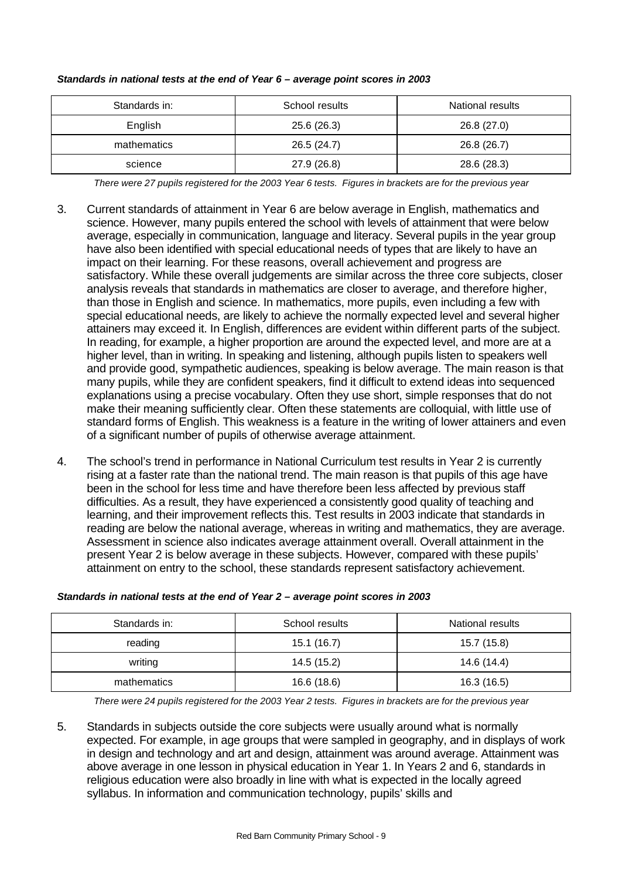| Standards in: | School results | National results |
|---------------|----------------|------------------|
| English       | 25.6(26.3)     | 26.8 (27.0)      |
| mathematics   | 26.5 (24.7)    | 26.8 (26.7)      |
| science       | 27.9 (26.8)    | 28.6 (28.3)      |

#### *Standards in national tests at the end of Year 6 – average point scores in 2003*

*There were 27 pupils registered for the 2003 Year 6 tests. Figures in brackets are for the previous year*

- 3. Current standards of attainment in Year 6 are below average in English, mathematics and science. However, many pupils entered the school with levels of attainment that were below average, especially in communication, language and literacy. Several pupils in the year group have also been identified with special educational needs of types that are likely to have an impact on their learning. For these reasons, overall achievement and progress are satisfactory. While these overall judgements are similar across the three core subjects, closer analysis reveals that standards in mathematics are closer to average, and therefore higher, than those in English and science. In mathematics, more pupils, even including a few with special educational needs, are likely to achieve the normally expected level and several higher attainers may exceed it. In English, differences are evident within different parts of the subject. In reading, for example, a higher proportion are around the expected level, and more are at a higher level, than in writing. In speaking and listening, although pupils listen to speakers well and provide good, sympathetic audiences, speaking is below average. The main reason is that many pupils, while they are confident speakers, find it difficult to extend ideas into sequenced explanations using a precise vocabulary. Often they use short, simple responses that do not make their meaning sufficiently clear. Often these statements are colloquial, with little use of standard forms of English. This weakness is a feature in the writing of lower attainers and even of a significant number of pupils of otherwise average attainment.
- 4. The school's trend in performance in National Curriculum test results in Year 2 is currently rising at a faster rate than the national trend. The main reason is that pupils of this age have been in the school for less time and have therefore been less affected by previous staff difficulties. As a result, they have experienced a consistently good quality of teaching and learning, and their improvement reflects this. Test results in 2003 indicate that standards in reading are below the national average, whereas in writing and mathematics, they are average. Assessment in science also indicates average attainment overall. Overall attainment in the present Year 2 is below average in these subjects. However, compared with these pupils' attainment on entry to the school, these standards represent satisfactory achievement.

| Standards in: | School results | National results |
|---------------|----------------|------------------|
| reading       | 15.1(16.7)     | 15.7 (15.8)      |
| writing       | 14.5 (15.2)    | 14.6 (14.4)      |
| mathematics   | 16.6 (18.6)    | 16.3 (16.5)      |

#### *Standards in national tests at the end of Year 2 – average point scores in 2003*

*There were 24 pupils registered for the 2003 Year 2 tests. Figures in brackets are for the previous year*

5. Standards in subjects outside the core subjects were usually around what is normally expected. For example, in age groups that were sampled in geography, and in displays of work in design and technology and art and design, attainment was around average. Attainment was above average in one lesson in physical education in Year 1. In Years 2 and 6, standards in religious education were also broadly in line with what is expected in the locally agreed syllabus. In information and communication technology, pupils' skills and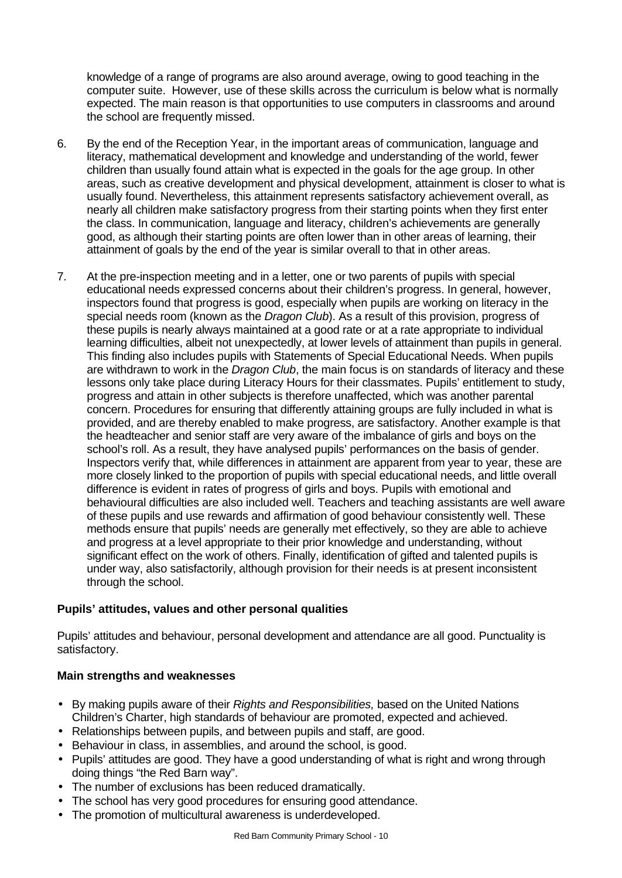knowledge of a range of programs are also around average, owing to good teaching in the computer suite. However, use of these skills across the curriculum is below what is normally expected. The main reason is that opportunities to use computers in classrooms and around the school are frequently missed.

- 6. By the end of the Reception Year, in the important areas of communication, language and literacy, mathematical development and knowledge and understanding of the world, fewer children than usually found attain what is expected in the goals for the age group. In other areas, such as creative development and physical development, attainment is closer to what is usually found. Nevertheless, this attainment represents satisfactory achievement overall, as nearly all children make satisfactory progress from their starting points when they first enter the class. In communication, language and literacy, children's achievements are generally good, as although their starting points are often lower than in other areas of learning, their attainment of goals by the end of the year is similar overall to that in other areas.
- 7. At the pre-inspection meeting and in a letter, one or two parents of pupils with special educational needs expressed concerns about their children's progress. In general, however, inspectors found that progress is good, especially when pupils are working on literacy in the special needs room (known as the *Dragon Club*). As a result of this provision, progress of these pupils is nearly always maintained at a good rate or at a rate appropriate to individual learning difficulties, albeit not unexpectedly, at lower levels of attainment than pupils in general. This finding also includes pupils with Statements of Special Educational Needs. When pupils are withdrawn to work in the *Dragon Club*, the main focus is on standards of literacy and these lessons only take place during Literacy Hours for their classmates. Pupils' entitlement to study, progress and attain in other subjects is therefore unaffected, which was another parental concern. Procedures for ensuring that differently attaining groups are fully included in what is provided, and are thereby enabled to make progress, are satisfactory. Another example is that the headteacher and senior staff are very aware of the imbalance of girls and boys on the school's roll. As a result, they have analysed pupils' performances on the basis of gender. Inspectors verify that, while differences in attainment are apparent from year to year, these are more closely linked to the proportion of pupils with special educational needs, and little overall difference is evident in rates of progress of girls and boys. Pupils with emotional and behavioural difficulties are also included well. Teachers and teaching assistants are well aware of these pupils and use rewards and affirmation of good behaviour consistently well. These methods ensure that pupils' needs are generally met effectively, so they are able to achieve and progress at a level appropriate to their prior knowledge and understanding, without significant effect on the work of others. Finally, identification of gifted and talented pupils is under way, also satisfactorily, although provision for their needs is at present inconsistent through the school.

## **Pupils' attitudes, values and other personal qualities**

Pupils' attitudes and behaviour, personal development and attendance are all good. Punctuality is satisfactory.

## **Main strengths and weaknesses**

- By making pupils aware of their *Rights and Responsibilities,* based on the United Nations Children's Charter, high standards of behaviour are promoted, expected and achieved.
- Relationships between pupils, and between pupils and staff, are good.
- Behaviour in class, in assemblies, and around the school, is good.
- Pupils' attitudes are good. They have a good understanding of what is right and wrong through doing things "the Red Barn way".
- The number of exclusions has been reduced dramatically.
- The school has very good procedures for ensuring good attendance.
- The promotion of multicultural awareness is underdeveloped.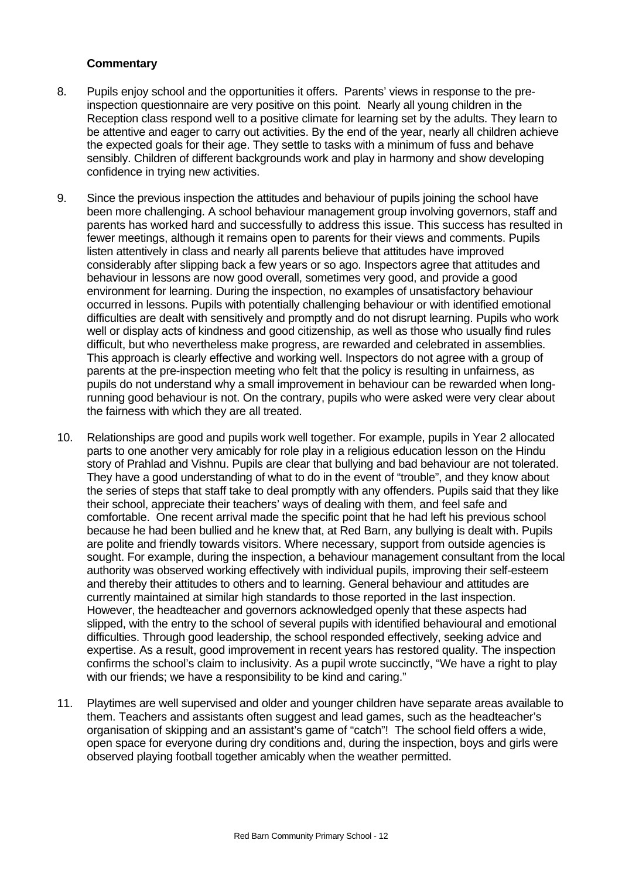- 8. Pupils enjoy school and the opportunities it offers. Parents' views in response to the preinspection questionnaire are very positive on this point. Nearly all young children in the Reception class respond well to a positive climate for learning set by the adults. They learn to be attentive and eager to carry out activities. By the end of the year, nearly all children achieve the expected goals for their age. They settle to tasks with a minimum of fuss and behave sensibly. Children of different backgrounds work and play in harmony and show developing confidence in trying new activities.
- 9. Since the previous inspection the attitudes and behaviour of pupils joining the school have been more challenging. A school behaviour management group involving governors, staff and parents has worked hard and successfully to address this issue. This success has resulted in fewer meetings, although it remains open to parents for their views and comments. Pupils listen attentively in class and nearly all parents believe that attitudes have improved considerably after slipping back a few years or so ago. Inspectors agree that attitudes and behaviour in lessons are now good overall, sometimes very good, and provide a good environment for learning. During the inspection, no examples of unsatisfactory behaviour occurred in lessons. Pupils with potentially challenging behaviour or with identified emotional difficulties are dealt with sensitively and promptly and do not disrupt learning. Pupils who work well or display acts of kindness and good citizenship, as well as those who usually find rules difficult, but who nevertheless make progress, are rewarded and celebrated in assemblies. This approach is clearly effective and working well. Inspectors do not agree with a group of parents at the pre-inspection meeting who felt that the policy is resulting in unfairness, as pupils do not understand why a small improvement in behaviour can be rewarded when longrunning good behaviour is not. On the contrary, pupils who were asked were very clear about the fairness with which they are all treated.
- 10. Relationships are good and pupils work well together. For example, pupils in Year 2 allocated parts to one another very amicably for role play in a religious education lesson on the Hindu story of Prahlad and Vishnu. Pupils are clear that bullying and bad behaviour are not tolerated. They have a good understanding of what to do in the event of "trouble", and they know about the series of steps that staff take to deal promptly with any offenders. Pupils said that they like their school, appreciate their teachers' ways of dealing with them, and feel safe and comfortable. One recent arrival made the specific point that he had left his previous school because he had been bullied and he knew that, at Red Barn, any bullying is dealt with. Pupils are polite and friendly towards visitors. Where necessary, support from outside agencies is sought. For example, during the inspection, a behaviour management consultant from the local authority was observed working effectively with individual pupils, improving their self-esteem and thereby their attitudes to others and to learning. General behaviour and attitudes are currently maintained at similar high standards to those reported in the last inspection. However, the headteacher and governors acknowledged openly that these aspects had slipped, with the entry to the school of several pupils with identified behavioural and emotional difficulties. Through good leadership, the school responded effectively, seeking advice and expertise. As a result, good improvement in recent years has restored quality. The inspection confirms the school's claim to inclusivity. As a pupil wrote succinctly, "We have a right to play with our friends; we have a responsibility to be kind and caring."
- 11. Playtimes are well supervised and older and younger children have separate areas available to them. Teachers and assistants often suggest and lead games, such as the headteacher's organisation of skipping and an assistant's game of "catch"! The school field offers a wide, open space for everyone during dry conditions and, during the inspection, boys and girls were observed playing football together amicably when the weather permitted.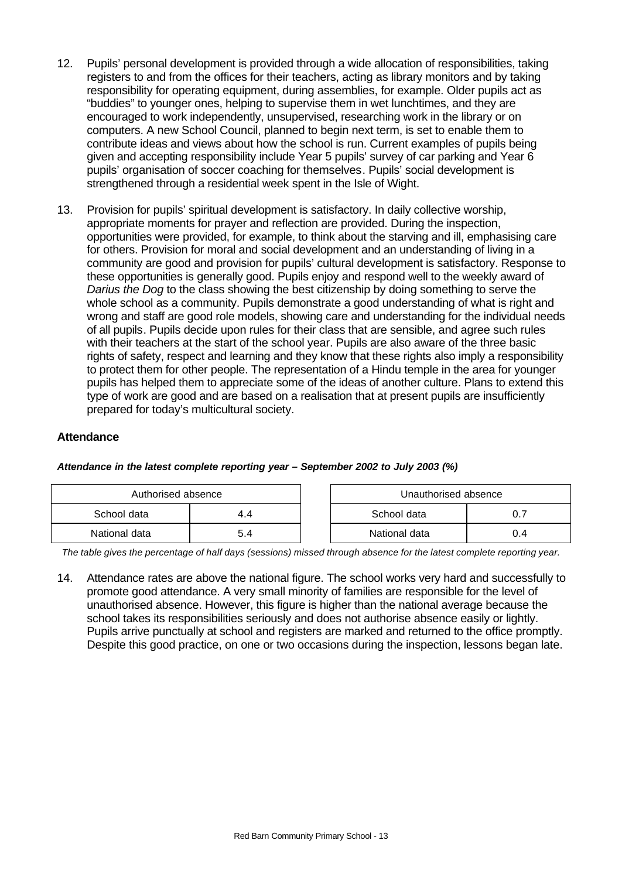- 12. Pupils' personal development is provided through a wide allocation of responsibilities, taking registers to and from the offices for their teachers, acting as library monitors and by taking responsibility for operating equipment, during assemblies, for example. Older pupils act as "buddies" to younger ones, helping to supervise them in wet lunchtimes, and they are encouraged to work independently, unsupervised, researching work in the library or on computers. A new School Council, planned to begin next term, is set to enable them to contribute ideas and views about how the school is run. Current examples of pupils being given and accepting responsibility include Year 5 pupils' survey of car parking and Year 6 pupils' organisation of soccer coaching for themselves. Pupils' social development is strengthened through a residential week spent in the Isle of Wight.
- 13. Provision for pupils' spiritual development is satisfactory. In daily collective worship, appropriate moments for prayer and reflection are provided. During the inspection, opportunities were provided, for example, to think about the starving and ill, emphasising care for others. Provision for moral and social development and an understanding of living in a community are good and provision for pupils' cultural development is satisfactory. Response to these opportunities is generally good. Pupils enjoy and respond well to the weekly award of *Darius the Dog* to the class showing the best citizenship by doing something to serve the whole school as a community. Pupils demonstrate a good understanding of what is right and wrong and staff are good role models, showing care and understanding for the individual needs of all pupils. Pupils decide upon rules for their class that are sensible, and agree such rules with their teachers at the start of the school year. Pupils are also aware of the three basic rights of safety, respect and learning and they know that these rights also imply a responsibility to protect them for other people. The representation of a Hindu temple in the area for younger pupils has helped them to appreciate some of the ideas of another culture. Plans to extend this type of work are good and are based on a realisation that at present pupils are insufficiently prepared for today's multicultural society.

## **Attendance**

| Authorised absence |  |  | Unauthorised absence |     |
|--------------------|--|--|----------------------|-----|
| School data        |  |  | School data          |     |
| National data      |  |  | National data        | 0.4 |

## *Attendance in the latest complete reporting year – September 2002 to July 2003 (%)*

*The table gives the percentage of half days (sessions) missed through absence for the latest complete reporting year.*

14. Attendance rates are above the national figure. The school works very hard and successfully to promote good attendance. A very small minority of families are responsible for the level of unauthorised absence. However, this figure is higher than the national average because the school takes its responsibilities seriously and does not authorise absence easily or lightly. Pupils arrive punctually at school and registers are marked and returned to the office promptly. Despite this good practice, on one or two occasions during the inspection, lessons began late.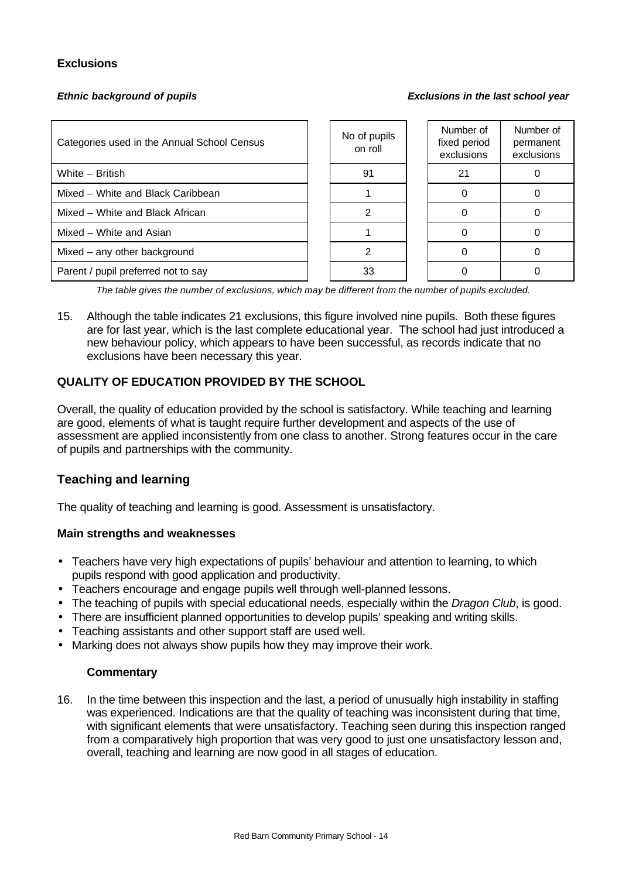## **Exclusions**

*Ethnic background of pupils Exclusions in the last school year*

| Categories used in the Annual School Census | No of pupils<br>on roll | Number of<br>fixed period<br>exclusions | Number of<br>permanent<br>exclusions |
|---------------------------------------------|-------------------------|-----------------------------------------|--------------------------------------|
| White - British                             | 91                      | 21                                      |                                      |
| Mixed – White and Black Caribbean           |                         |                                         |                                      |
| Mixed – White and Black African             |                         |                                         |                                      |
| Mixed – White and Asian                     |                         |                                         |                                      |
| Mixed - any other background                |                         |                                         |                                      |
| Parent / pupil preferred not to say         | 33                      |                                         |                                      |

*The table gives the number of exclusions, which may be different from the number of pupils excluded.*

15. Although the table indicates 21 exclusions, this figure involved nine pupils. Both these figures are for last year, which is the last complete educational year. The school had just introduced a new behaviour policy, which appears to have been successful, as records indicate that no exclusions have been necessary this year.

## **QUALITY OF EDUCATION PROVIDED BY THE SCHOOL**

Overall, the quality of education provided by the school is satisfactory. While teaching and learning are good, elements of what is taught require further development and aspects of the use of assessment are applied inconsistently from one class to another. Strong features occur in the care of pupils and partnerships with the community.

## **Teaching and learning**

The quality of teaching and learning is good. Assessment is unsatisfactory.

#### **Main strengths and weaknesses**

- Teachers have very high expectations of pupils' behaviour and attention to learning, to which pupils respond with good application and productivity.
- Teachers encourage and engage pupils well through well-planned lessons.
- The teaching of pupils with special educational needs, especially within the *Dragon Club*, is good.
- There are insufficient planned opportunities to develop pupils' speaking and writing skills.
- Teaching assistants and other support staff are used well.
- Marking does not always show pupils how they may improve their work.

#### **Commentary**

16. In the time between this inspection and the last, a period of unusually high instability in staffing was experienced. Indications are that the quality of teaching was inconsistent during that time, with significant elements that were unsatisfactory. Teaching seen during this inspection ranged from a comparatively high proportion that was very good to just one unsatisfactory lesson and, overall, teaching and learning are now good in all stages of education.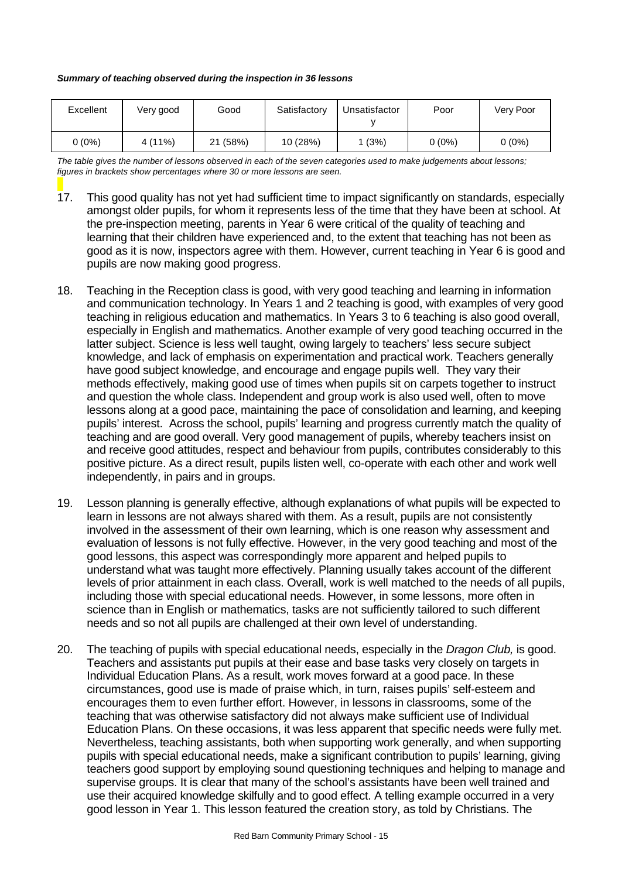#### *Summary of teaching observed during the inspection in 36 lessons*

| Excellent | Very good | Good     | Satisfactory | Unsatisfactor | Poor   | Verv Poor |
|-----------|-----------|----------|--------------|---------------|--------|-----------|
| 0 (0%)    | $4(11\%)$ | 21 (58%) | 10 (28%)     | 1 (3%)        | 0 (0%) | $0(0\%)$  |

*The table gives the number of lessons observed in each of the seven categories used to make judgements about lessons; figures in brackets show percentages where 30 or more lessons are seen.*

- 17. This good quality has not yet had sufficient time to impact significantly on standards, especially amongst older pupils, for whom it represents less of the time that they have been at school. At the pre-inspection meeting, parents in Year 6 were critical of the quality of teaching and learning that their children have experienced and, to the extent that teaching has not been as good as it is now, inspectors agree with them. However, current teaching in Year 6 is good and pupils are now making good progress.
- 18. Teaching in the Reception class is good, with very good teaching and learning in information and communication technology. In Years 1 and 2 teaching is good, with examples of very good teaching in religious education and mathematics. In Years 3 to 6 teaching is also good overall, especially in English and mathematics. Another example of very good teaching occurred in the latter subject. Science is less well taught, owing largely to teachers' less secure subject knowledge, and lack of emphasis on experimentation and practical work. Teachers generally have good subject knowledge, and encourage and engage pupils well. They vary their methods effectively, making good use of times when pupils sit on carpets together to instruct and question the whole class. Independent and group work is also used well, often to move lessons along at a good pace, maintaining the pace of consolidation and learning, and keeping pupils' interest. Across the school, pupils' learning and progress currently match the quality of teaching and are good overall. Very good management of pupils, whereby teachers insist on and receive good attitudes, respect and behaviour from pupils, contributes considerably to this positive picture. As a direct result, pupils listen well, co-operate with each other and work well independently, in pairs and in groups.
- 19. Lesson planning is generally effective, although explanations of what pupils will be expected to learn in lessons are not always shared with them. As a result, pupils are not consistently involved in the assessment of their own learning, which is one reason why assessment and evaluation of lessons is not fully effective. However, in the very good teaching and most of the good lessons, this aspect was correspondingly more apparent and helped pupils to understand what was taught more effectively. Planning usually takes account of the different levels of prior attainment in each class. Overall, work is well matched to the needs of all pupils, including those with special educational needs. However, in some lessons, more often in science than in English or mathematics, tasks are not sufficiently tailored to such different needs and so not all pupils are challenged at their own level of understanding.
- 20. The teaching of pupils with special educational needs, especially in the *Dragon Club,* is good. Teachers and assistants put pupils at their ease and base tasks very closely on targets in Individual Education Plans. As a result, work moves forward at a good pace. In these circumstances, good use is made of praise which, in turn, raises pupils' self-esteem and encourages them to even further effort. However, in lessons in classrooms, some of the teaching that was otherwise satisfactory did not always make sufficient use of Individual Education Plans. On these occasions, it was less apparent that specific needs were fully met. Nevertheless, teaching assistants, both when supporting work generally, and when supporting pupils with special educational needs, make a significant contribution to pupils' learning, giving teachers good support by employing sound questioning techniques and helping to manage and supervise groups. It is clear that many of the school's assistants have been well trained and use their acquired knowledge skilfully and to good effect. A telling example occurred in a very good lesson in Year 1. This lesson featured the creation story, as told by Christians. The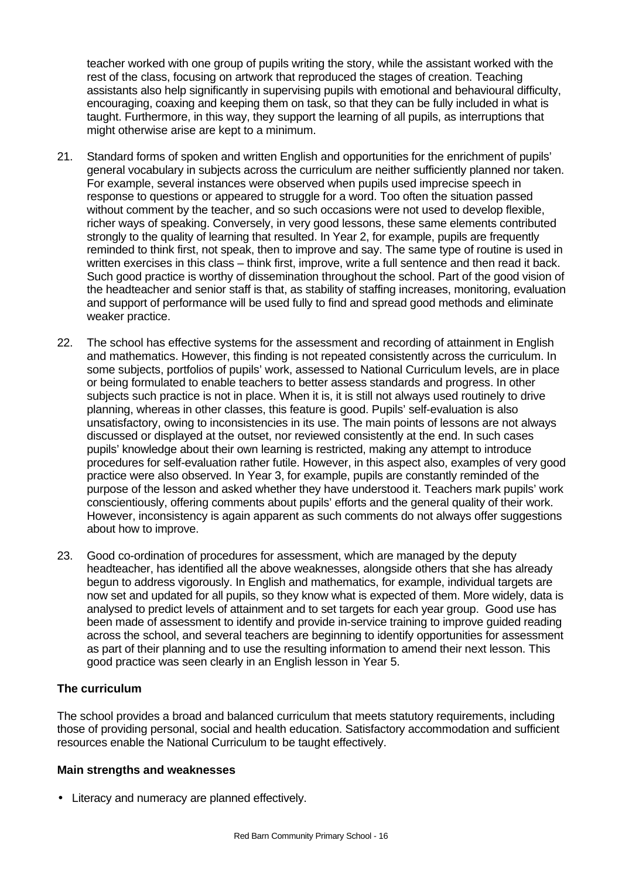teacher worked with one group of pupils writing the story, while the assistant worked with the rest of the class, focusing on artwork that reproduced the stages of creation. Teaching assistants also help significantly in supervising pupils with emotional and behavioural difficulty, encouraging, coaxing and keeping them on task, so that they can be fully included in what is taught. Furthermore, in this way, they support the learning of all pupils, as interruptions that might otherwise arise are kept to a minimum.

- 21. Standard forms of spoken and written English and opportunities for the enrichment of pupils' general vocabulary in subjects across the curriculum are neither sufficiently planned nor taken. For example, several instances were observed when pupils used imprecise speech in response to questions or appeared to struggle for a word. Too often the situation passed without comment by the teacher, and so such occasions were not used to develop flexible, richer ways of speaking. Conversely, in very good lessons, these same elements contributed strongly to the quality of learning that resulted. In Year 2, for example, pupils are frequently reminded to think first, not speak, then to improve and say. The same type of routine is used in written exercises in this class – think first, improve, write a full sentence and then read it back. Such good practice is worthy of dissemination throughout the school. Part of the good vision of the headteacher and senior staff is that, as stability of staffing increases, monitoring, evaluation and support of performance will be used fully to find and spread good methods and eliminate weaker practice.
- 22. The school has effective systems for the assessment and recording of attainment in English and mathematics. However, this finding is not repeated consistently across the curriculum. In some subjects, portfolios of pupils' work, assessed to National Curriculum levels, are in place or being formulated to enable teachers to better assess standards and progress. In other subjects such practice is not in place. When it is, it is still not always used routinely to drive planning, whereas in other classes, this feature is good. Pupils' self-evaluation is also unsatisfactory, owing to inconsistencies in its use. The main points of lessons are not always discussed or displayed at the outset, nor reviewed consistently at the end. In such cases pupils' knowledge about their own learning is restricted, making any attempt to introduce procedures for self-evaluation rather futile. However, in this aspect also, examples of very good practice were also observed. In Year 3, for example, pupils are constantly reminded of the purpose of the lesson and asked whether they have understood it. Teachers mark pupils' work conscientiously, offering comments about pupils' efforts and the general quality of their work. However, inconsistency is again apparent as such comments do not always offer suggestions about how to improve.
- 23. Good co-ordination of procedures for assessment, which are managed by the deputy headteacher, has identified all the above weaknesses, alongside others that she has already begun to address vigorously. In English and mathematics, for example, individual targets are now set and updated for all pupils, so they know what is expected of them. More widely, data is analysed to predict levels of attainment and to set targets for each year group. Good use has been made of assessment to identify and provide in-service training to improve guided reading across the school, and several teachers are beginning to identify opportunities for assessment as part of their planning and to use the resulting information to amend their next lesson. This good practice was seen clearly in an English lesson in Year 5.

## **The curriculum**

The school provides a broad and balanced curriculum that meets statutory requirements, including those of providing personal, social and health education. Satisfactory accommodation and sufficient resources enable the National Curriculum to be taught effectively.

#### **Main strengths and weaknesses**

• Literacy and numeracy are planned effectively.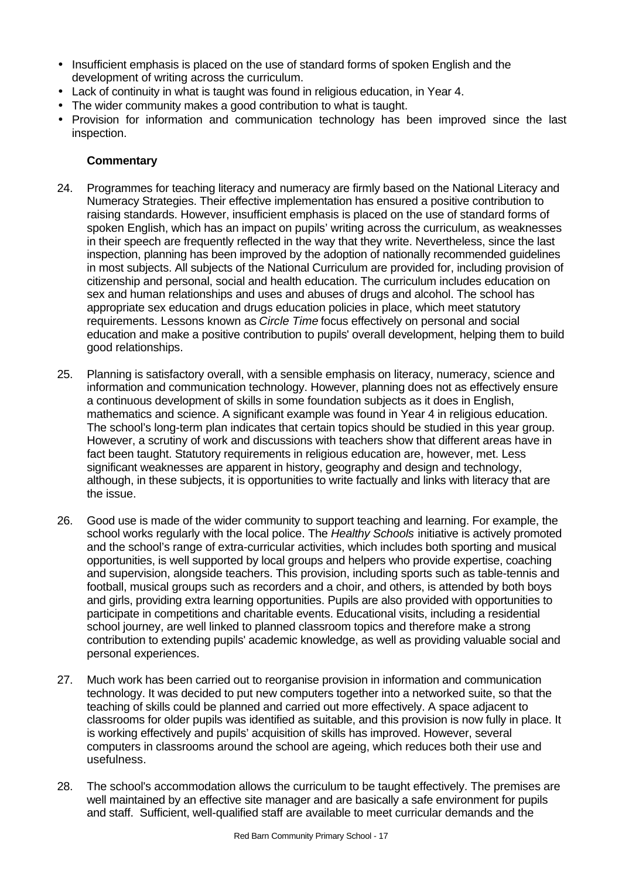- Insufficient emphasis is placed on the use of standard forms of spoken English and the development of writing across the curriculum.
- Lack of continuity in what is taught was found in religious education, in Year 4.
- The wider community makes a good contribution to what is taught.
- Provision for information and communication technology has been improved since the last inspection.

- 24. Programmes for teaching literacy and numeracy are firmly based on the National Literacy and Numeracy Strategies. Their effective implementation has ensured a positive contribution to raising standards. However, insufficient emphasis is placed on the use of standard forms of spoken English, which has an impact on pupils' writing across the curriculum, as weaknesses in their speech are frequently reflected in the way that they write. Nevertheless, since the last inspection, planning has been improved by the adoption of nationally recommended guidelines in most subjects. All subjects of the National Curriculum are provided for, including provision of citizenship and personal, social and health education. The curriculum includes education on sex and human relationships and uses and abuses of drugs and alcohol. The school has appropriate sex education and drugs education policies in place, which meet statutory requirements. Lessons known as *Circle Time* focus effectively on personal and social education and make a positive contribution to pupils' overall development, helping them to build good relationships.
- 25. Planning is satisfactory overall, with a sensible emphasis on literacy, numeracy, science and information and communication technology. However, planning does not as effectively ensure a continuous development of skills in some foundation subjects as it does in English, mathematics and science. A significant example was found in Year 4 in religious education. The school's long-term plan indicates that certain topics should be studied in this year group. However, a scrutiny of work and discussions with teachers show that different areas have in fact been taught. Statutory requirements in religious education are, however, met. Less significant weaknesses are apparent in history, geography and design and technology, although, in these subjects, it is opportunities to write factually and links with literacy that are the issue.
- 26. Good use is made of the wider community to support teaching and learning. For example, the school works regularly with the local police. The *Healthy Schools* initiative is actively promoted and the school's range of extra-curricular activities, which includes both sporting and musical opportunities, is well supported by local groups and helpers who provide expertise, coaching and supervision, alongside teachers. This provision, including sports such as table-tennis and football, musical groups such as recorders and a choir, and others, is attended by both boys and girls, providing extra learning opportunities. Pupils are also provided with opportunities to participate in competitions and charitable events. Educational visits, including a residential school journey, are well linked to planned classroom topics and therefore make a strong contribution to extending pupils' academic knowledge, as well as providing valuable social and personal experiences.
- 27. Much work has been carried out to reorganise provision in information and communication technology. It was decided to put new computers together into a networked suite, so that the teaching of skills could be planned and carried out more effectively. A space adjacent to classrooms for older pupils was identified as suitable, and this provision is now fully in place. It is working effectively and pupils' acquisition of skills has improved. However, several computers in classrooms around the school are ageing, which reduces both their use and usefulness.
- 28. The school's accommodation allows the curriculum to be taught effectively. The premises are well maintained by an effective site manager and are basically a safe environment for pupils and staff. Sufficient, well-qualified staff are available to meet curricular demands and the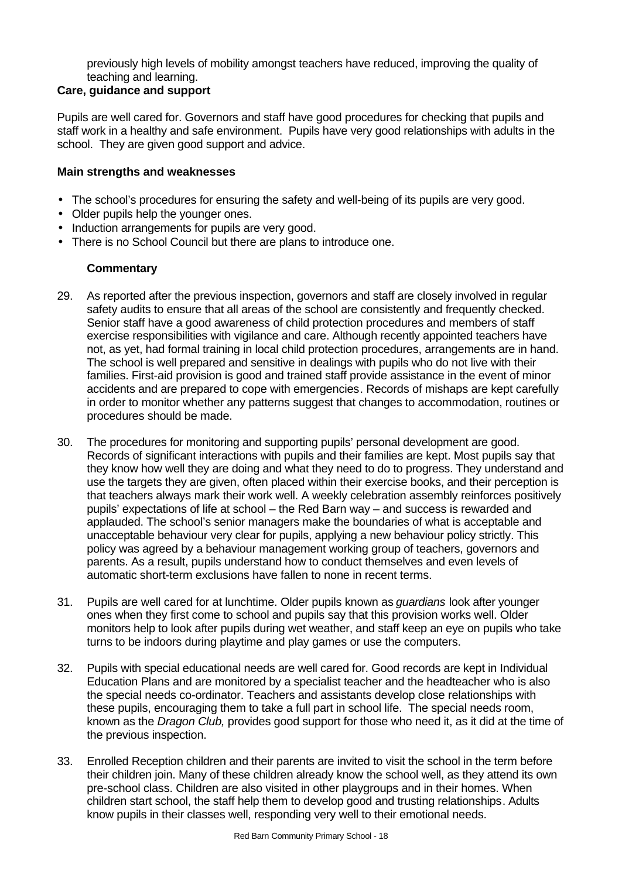previously high levels of mobility amongst teachers have reduced, improving the quality of teaching and learning.

## **Care, guidance and support**

Pupils are well cared for. Governors and staff have good procedures for checking that pupils and staff work in a healthy and safe environment. Pupils have very good relationships with adults in the school. They are given good support and advice.

#### **Main strengths and weaknesses**

- The school's procedures for ensuring the safety and well-being of its pupils are very good.
- Older pupils help the younger ones.
- Induction arrangements for pupils are very good.
- There is no School Council but there are plans to introduce one.

- 29. As reported after the previous inspection, governors and staff are closely involved in regular safety audits to ensure that all areas of the school are consistently and frequently checked. Senior staff have a good awareness of child protection procedures and members of staff exercise responsibilities with vigilance and care. Although recently appointed teachers have not, as yet, had formal training in local child protection procedures, arrangements are in hand. The school is well prepared and sensitive in dealings with pupils who do not live with their families. First-aid provision is good and trained staff provide assistance in the event of minor accidents and are prepared to cope with emergencies. Records of mishaps are kept carefully in order to monitor whether any patterns suggest that changes to accommodation, routines or procedures should be made.
- 30. The procedures for monitoring and supporting pupils' personal development are good. Records of significant interactions with pupils and their families are kept. Most pupils say that they know how well they are doing and what they need to do to progress. They understand and use the targets they are given, often placed within their exercise books, and their perception is that teachers always mark their work well. A weekly celebration assembly reinforces positively pupils' expectations of life at school – the Red Barn way – and success is rewarded and applauded. The school's senior managers make the boundaries of what is acceptable and unacceptable behaviour very clear for pupils, applying a new behaviour policy strictly. This policy was agreed by a behaviour management working group of teachers, governors and parents. As a result, pupils understand how to conduct themselves and even levels of automatic short-term exclusions have fallen to none in recent terms.
- 31. Pupils are well cared for at lunchtime. Older pupils known as *guardians* look after younger ones when they first come to school and pupils say that this provision works well. Older monitors help to look after pupils during wet weather, and staff keep an eye on pupils who take turns to be indoors during playtime and play games or use the computers.
- 32. Pupils with special educational needs are well cared for. Good records are kept in Individual Education Plans and are monitored by a specialist teacher and the headteacher who is also the special needs co-ordinator. Teachers and assistants develop close relationships with these pupils, encouraging them to take a full part in school life. The special needs room, known as the *Dragon Club,* provides good support for those who need it, as it did at the time of the previous inspection.
- 33. Enrolled Reception children and their parents are invited to visit the school in the term before their children join. Many of these children already know the school well, as they attend its own pre-school class. Children are also visited in other playgroups and in their homes. When children start school, the staff help them to develop good and trusting relationships. Adults know pupils in their classes well, responding very well to their emotional needs.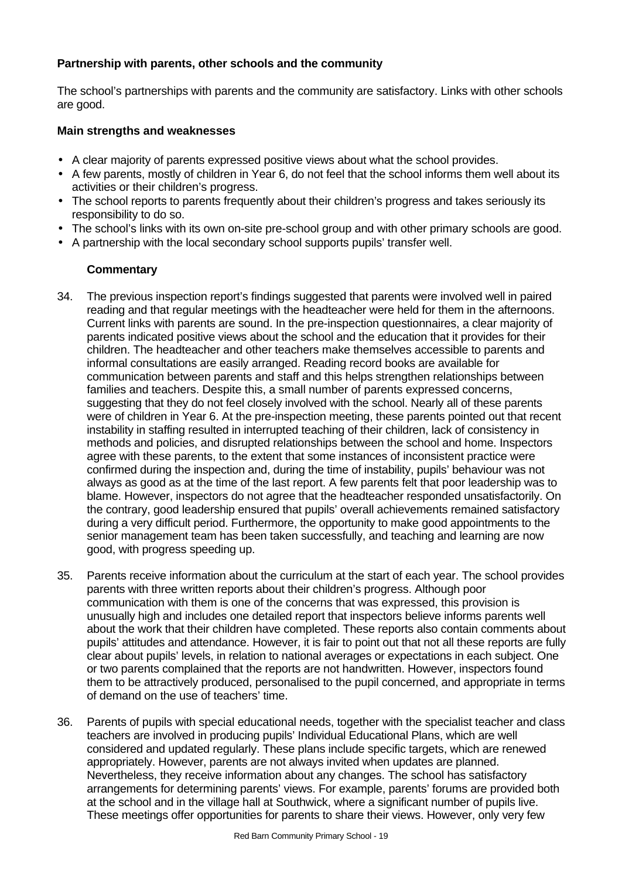## **Partnership with parents, other schools and the community**

The school's partnerships with parents and the community are satisfactory. Links with other schools are good.

## **Main strengths and weaknesses**

- A clear majority of parents expressed positive views about what the school provides.
- A few parents, mostly of children in Year 6, do not feel that the school informs them well about its activities or their children's progress.
- The school reports to parents frequently about their children's progress and takes seriously its responsibility to do so.
- The school's links with its own on-site pre-school group and with other primary schools are good.
- A partnership with the local secondary school supports pupils' transfer well.

- 34. The previous inspection report's findings suggested that parents were involved well in paired reading and that regular meetings with the headteacher were held for them in the afternoons. Current links with parents are sound. In the pre-inspection questionnaires, a clear majority of parents indicated positive views about the school and the education that it provides for their children. The headteacher and other teachers make themselves accessible to parents and informal consultations are easily arranged. Reading record books are available for communication between parents and staff and this helps strengthen relationships between families and teachers. Despite this, a small number of parents expressed concerns, suggesting that they do not feel closely involved with the school. Nearly all of these parents were of children in Year 6. At the pre-inspection meeting, these parents pointed out that recent instability in staffing resulted in interrupted teaching of their children, lack of consistency in methods and policies, and disrupted relationships between the school and home. Inspectors agree with these parents, to the extent that some instances of inconsistent practice were confirmed during the inspection and, during the time of instability, pupils' behaviour was not always as good as at the time of the last report. A few parents felt that poor leadership was to blame. However, inspectors do not agree that the headteacher responded unsatisfactorily. On the contrary, good leadership ensured that pupils' overall achievements remained satisfactory during a very difficult period. Furthermore, the opportunity to make good appointments to the senior management team has been taken successfully, and teaching and learning are now good, with progress speeding up.
- 35. Parents receive information about the curriculum at the start of each year. The school provides parents with three written reports about their children's progress. Although poor communication with them is one of the concerns that was expressed, this provision is unusually high and includes one detailed report that inspectors believe informs parents well about the work that their children have completed. These reports also contain comments about pupils' attitudes and attendance. However, it is fair to point out that not all these reports are fully clear about pupils' levels, in relation to national averages or expectations in each subject. One or two parents complained that the reports are not handwritten. However, inspectors found them to be attractively produced, personalised to the pupil concerned, and appropriate in terms of demand on the use of teachers' time.
- 36. Parents of pupils with special educational needs, together with the specialist teacher and class teachers are involved in producing pupils' Individual Educational Plans, which are well considered and updated regularly. These plans include specific targets, which are renewed appropriately. However, parents are not always invited when updates are planned. Nevertheless, they receive information about any changes. The school has satisfactory arrangements for determining parents' views. For example, parents' forums are provided both at the school and in the village hall at Southwick, where a significant number of pupils live. These meetings offer opportunities for parents to share their views. However, only very few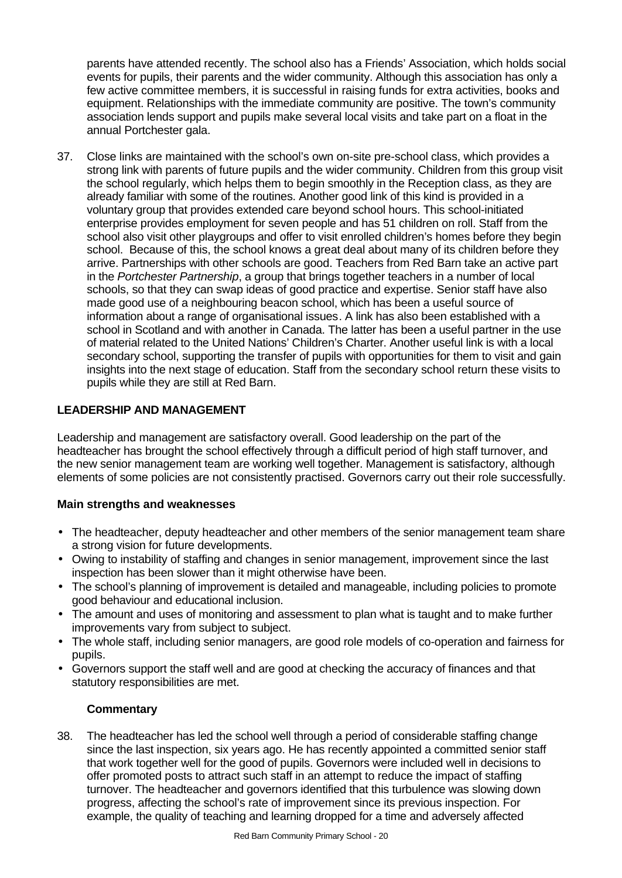parents have attended recently. The school also has a Friends' Association, which holds social events for pupils, their parents and the wider community. Although this association has only a few active committee members, it is successful in raising funds for extra activities, books and equipment. Relationships with the immediate community are positive. The town's community association lends support and pupils make several local visits and take part on a float in the annual Portchester gala.

37. Close links are maintained with the school's own on-site pre-school class, which provides a strong link with parents of future pupils and the wider community. Children from this group visit the school regularly, which helps them to begin smoothly in the Reception class, as they are already familiar with some of the routines. Another good link of this kind is provided in a voluntary group that provides extended care beyond school hours. This school-initiated enterprise provides employment for seven people and has 51 children on roll. Staff from the school also visit other playgroups and offer to visit enrolled children's homes before they begin school. Because of this, the school knows a great deal about many of its children before they arrive. Partnerships with other schools are good. Teachers from Red Barn take an active part in the *Portchester Partnership*, a group that brings together teachers in a number of local schools, so that they can swap ideas of good practice and expertise. Senior staff have also made good use of a neighbouring beacon school, which has been a useful source of information about a range of organisational issues. A link has also been established with a school in Scotland and with another in Canada. The latter has been a useful partner in the use of material related to the United Nations' Children's Charter. Another useful link is with a local secondary school, supporting the transfer of pupils with opportunities for them to visit and gain insights into the next stage of education. Staff from the secondary school return these visits to pupils while they are still at Red Barn.

## **LEADERSHIP AND MANAGEMENT**

Leadership and management are satisfactory overall. Good leadership on the part of the headteacher has brought the school effectively through a difficult period of high staff turnover, and the new senior management team are working well together. Management is satisfactory, although elements of some policies are not consistently practised. Governors carry out their role successfully.

## **Main strengths and weaknesses**

- The headteacher, deputy headteacher and other members of the senior management team share a strong vision for future developments.
- Owing to instability of staffing and changes in senior management, improvement since the last inspection has been slower than it might otherwise have been.
- The school's planning of improvement is detailed and manageable, including policies to promote good behaviour and educational inclusion.
- The amount and uses of monitoring and assessment to plan what is taught and to make further improvements vary from subject to subject.
- The whole staff, including senior managers, are good role models of co-operation and fairness for pupils.
- Governors support the staff well and are good at checking the accuracy of finances and that statutory responsibilities are met.

## **Commentary**

38. The headteacher has led the school well through a period of considerable staffing change since the last inspection, six years ago. He has recently appointed a committed senior staff that work together well for the good of pupils. Governors were included well in decisions to offer promoted posts to attract such staff in an attempt to reduce the impact of staffing turnover. The headteacher and governors identified that this turbulence was slowing down progress, affecting the school's rate of improvement since its previous inspection. For example, the quality of teaching and learning dropped for a time and adversely affected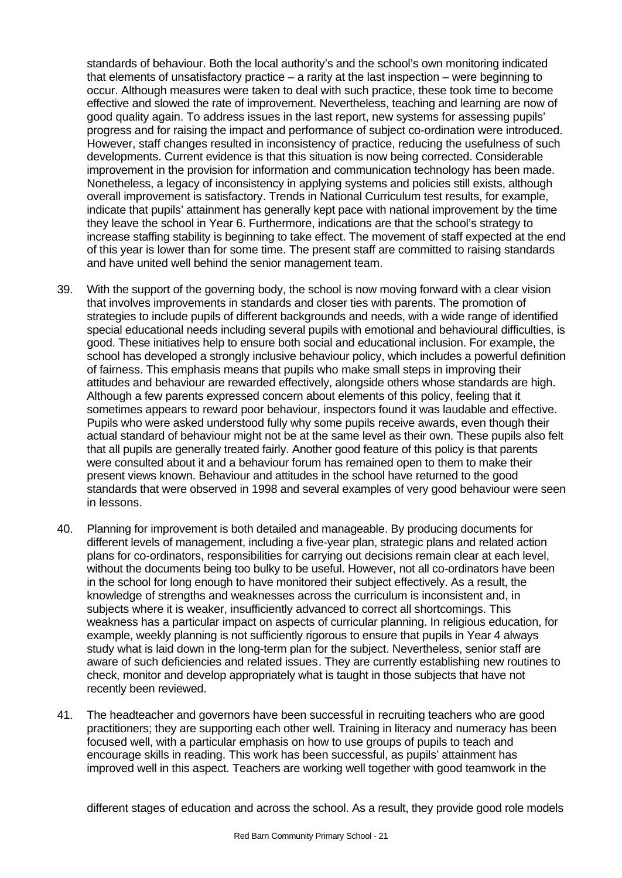standards of behaviour. Both the local authority's and the school's own monitoring indicated that elements of unsatisfactory practice – a rarity at the last inspection – were beginning to occur. Although measures were taken to deal with such practice, these took time to become effective and slowed the rate of improvement. Nevertheless, teaching and learning are now of good quality again. To address issues in the last report, new systems for assessing pupils' progress and for raising the impact and performance of subject co-ordination were introduced. However, staff changes resulted in inconsistency of practice, reducing the usefulness of such developments. Current evidence is that this situation is now being corrected. Considerable improvement in the provision for information and communication technology has been made. Nonetheless, a legacy of inconsistency in applying systems and policies still exists, although overall improvement is satisfactory. Trends in National Curriculum test results, for example, indicate that pupils' attainment has generally kept pace with national improvement by the time they leave the school in Year 6. Furthermore, indications are that the school's strategy to increase staffing stability is beginning to take effect. The movement of staff expected at the end of this year is lower than for some time. The present staff are committed to raising standards and have united well behind the senior management team.

- 39. With the support of the governing body, the school is now moving forward with a clear vision that involves improvements in standards and closer ties with parents. The promotion of strategies to include pupils of different backgrounds and needs, with a wide range of identified special educational needs including several pupils with emotional and behavioural difficulties, is good. These initiatives help to ensure both social and educational inclusion. For example, the school has developed a strongly inclusive behaviour policy, which includes a powerful definition of fairness. This emphasis means that pupils who make small steps in improving their attitudes and behaviour are rewarded effectively, alongside others whose standards are high. Although a few parents expressed concern about elements of this policy, feeling that it sometimes appears to reward poor behaviour, inspectors found it was laudable and effective. Pupils who were asked understood fully why some pupils receive awards, even though their actual standard of behaviour might not be at the same level as their own. These pupils also felt that all pupils are generally treated fairly. Another good feature of this policy is that parents were consulted about it and a behaviour forum has remained open to them to make their present views known. Behaviour and attitudes in the school have returned to the good standards that were observed in 1998 and several examples of very good behaviour were seen in lessons.
- 40. Planning for improvement is both detailed and manageable. By producing documents for different levels of management, including a five-year plan, strategic plans and related action plans for co-ordinators, responsibilities for carrying out decisions remain clear at each level, without the documents being too bulky to be useful. However, not all co-ordinators have been in the school for long enough to have monitored their subject effectively. As a result, the knowledge of strengths and weaknesses across the curriculum is inconsistent and, in subjects where it is weaker, insufficiently advanced to correct all shortcomings. This weakness has a particular impact on aspects of curricular planning. In religious education, for example, weekly planning is not sufficiently rigorous to ensure that pupils in Year 4 always study what is laid down in the long-term plan for the subject. Nevertheless, senior staff are aware of such deficiencies and related issues. They are currently establishing new routines to check, monitor and develop appropriately what is taught in those subjects that have not recently been reviewed.
- 41. The headteacher and governors have been successful in recruiting teachers who are good practitioners; they are supporting each other well. Training in literacy and numeracy has been focused well, with a particular emphasis on how to use groups of pupils to teach and encourage skills in reading. This work has been successful, as pupils' attainment has improved well in this aspect. Teachers are working well together with good teamwork in the

different stages of education and across the school. As a result, they provide good role models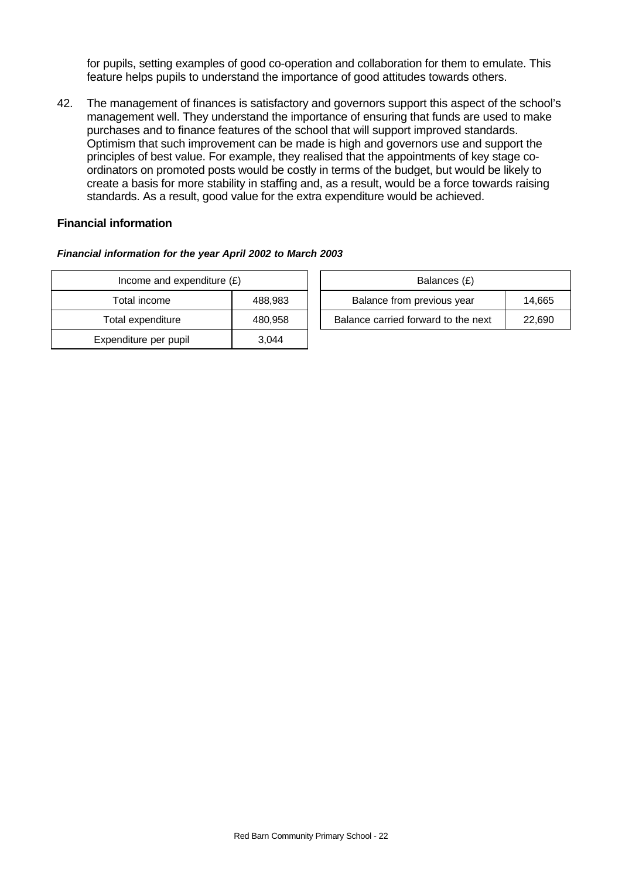for pupils, setting examples of good co-operation and collaboration for them to emulate. This feature helps pupils to understand the importance of good attitudes towards others.

42. The management of finances is satisfactory and governors support this aspect of the school's management well. They understand the importance of ensuring that funds are used to make purchases and to finance features of the school that will support improved standards. Optimism that such improvement can be made is high and governors use and support the principles of best value. For example, they realised that the appointments of key stage coordinators on promoted posts would be costly in terms of the budget, but would be likely to create a basis for more stability in staffing and, as a result, would be a force towards raising standards. As a result, good value for the extra expenditure would be achieved.

## **Financial information**

#### *Financial information for the year April 2002 to March 2003*

| Income and expenditure $(E)$ | Balances (£) |                                  |
|------------------------------|--------------|----------------------------------|
| Total income                 | 488,983      | Balance from previous year       |
| Total expenditure            | 480,958      | Balance carried forward to the i |
| Expenditure per pupil        | 3.044        |                                  |

| Income and expenditure $(E)$ |         | Balances (£)                        |        |
|------------------------------|---------|-------------------------------------|--------|
| Total income                 | 488.983 | Balance from previous year          | 14,665 |
| Total expenditure            | 480.958 | Balance carried forward to the next | 22.690 |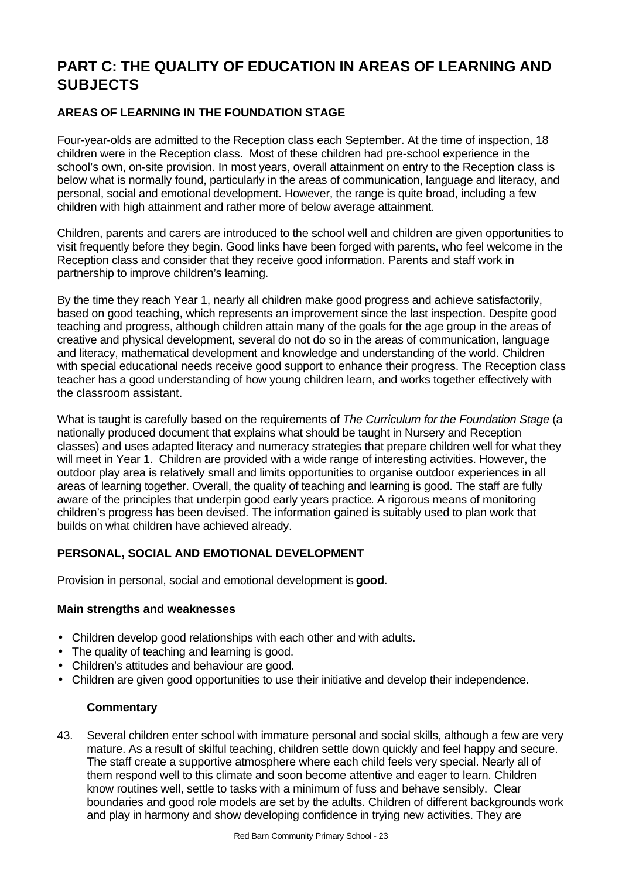# **PART C: THE QUALITY OF EDUCATION IN AREAS OF LEARNING AND SUBJECTS**

## **AREAS OF LEARNING IN THE FOUNDATION STAGE**

Four-year-olds are admitted to the Reception class each September. At the time of inspection, 18 children were in the Reception class. Most of these children had pre-school experience in the school's own, on-site provision. In most years, overall attainment on entry to the Reception class is below what is normally found, particularly in the areas of communication, language and literacy, and personal, social and emotional development. However, the range is quite broad, including a few children with high attainment and rather more of below average attainment.

Children, parents and carers are introduced to the school well and children are given opportunities to visit frequently before they begin. Good links have been forged with parents, who feel welcome in the Reception class and consider that they receive good information. Parents and staff work in partnership to improve children's learning.

By the time they reach Year 1, nearly all children make good progress and achieve satisfactorily, based on good teaching, which represents an improvement since the last inspection. Despite good teaching and progress, although children attain many of the goals for the age group in the areas of creative and physical development, several do not do so in the areas of communication, language and literacy, mathematical development and knowledge and understanding of the world. Children with special educational needs receive good support to enhance their progress. The Reception class teacher has a good understanding of how young children learn, and works together effectively with the classroom assistant.

What is taught is carefully based on the requirements of *The Curriculum for the Foundation Stage* (a nationally produced document that explains what should be taught in Nursery and Reception classes) and uses adapted literacy and numeracy strategies that prepare children well for what they will meet in Year 1. Children are provided with a wide range of interesting activities. However, the outdoor play area is relatively small and limits opportunities to organise outdoor experiences in all areas of learning together. Overall, the quality of teaching and learning is good. The staff are fully aware of the principles that underpin good early years practice. A rigorous means of monitoring children's progress has been devised. The information gained is suitably used to plan work that builds on what children have achieved already.

## **PERSONAL, SOCIAL AND EMOTIONAL DEVELOPMENT**

Provision in personal, social and emotional development is **good**.

## **Main strengths and weaknesses**

- Children develop good relationships with each other and with adults.
- The quality of teaching and learning is good.
- Children's attitudes and behaviour are good.
- Children are given good opportunities to use their initiative and develop their independence.

## **Commentary**

43. Several children enter school with immature personal and social skills, although a few are very mature. As a result of skilful teaching, children settle down quickly and feel happy and secure. The staff create a supportive atmosphere where each child feels very special. Nearly all of them respond well to this climate and soon become attentive and eager to learn. Children know routines well, settle to tasks with a minimum of fuss and behave sensibly. Clear boundaries and good role models are set by the adults. Children of different backgrounds work and play in harmony and show developing confidence in trying new activities. They are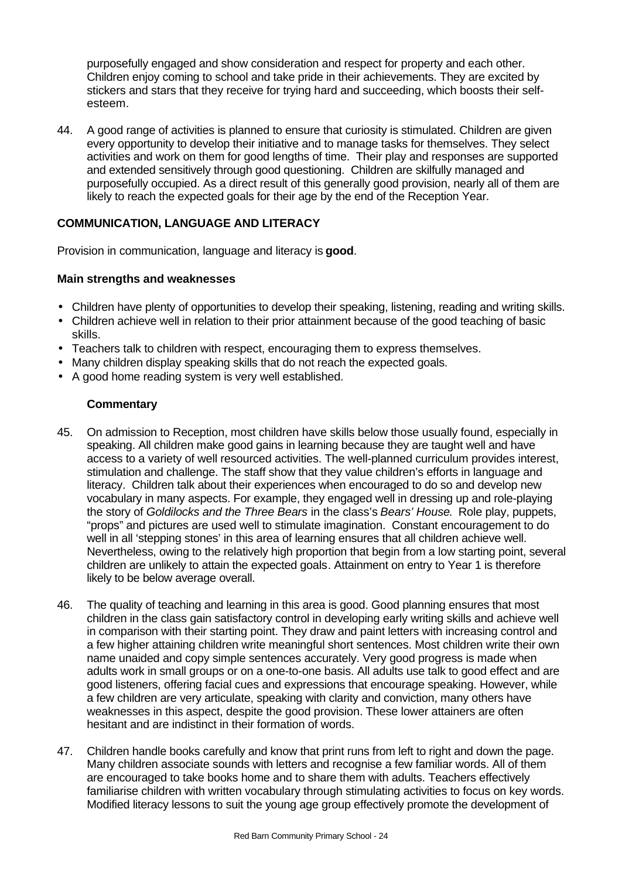purposefully engaged and show consideration and respect for property and each other. Children enjoy coming to school and take pride in their achievements. They are excited by stickers and stars that they receive for trying hard and succeeding, which boosts their selfesteem.

44. A good range of activities is planned to ensure that curiosity is stimulated. Children are given every opportunity to develop their initiative and to manage tasks for themselves. They select activities and work on them for good lengths of time. Their play and responses are supported and extended sensitively through good questioning. Children are skilfully managed and purposefully occupied. As a direct result of this generally good provision, nearly all of them are likely to reach the expected goals for their age by the end of the Reception Year.

## **COMMUNICATION, LANGUAGE AND LITERACY**

Provision in communication, language and literacy is **good**.

## **Main strengths and weaknesses**

- Children have plenty of opportunities to develop their speaking, listening, reading and writing skills.
- Children achieve well in relation to their prior attainment because of the good teaching of basic skills.
- Teachers talk to children with respect, encouraging them to express themselves.
- Many children display speaking skills that do not reach the expected goals.
- A good home reading system is very well established.

- 45. On admission to Reception, most children have skills below those usually found, especially in speaking. All children make good gains in learning because they are taught well and have access to a variety of well resourced activities. The well-planned curriculum provides interest, stimulation and challenge. The staff show that they value children's efforts in language and literacy. Children talk about their experiences when encouraged to do so and develop new vocabulary in many aspects. For example, they engaged well in dressing up and role-playing the story of *Goldilocks and the Three Bears* in the class's *Bears' House*. Role play, puppets, "props" and pictures are used well to stimulate imagination. Constant encouragement to do well in all 'stepping stones' in this area of learning ensures that all children achieve well. Nevertheless, owing to the relatively high proportion that begin from a low starting point, several children are unlikely to attain the expected goals. Attainment on entry to Year 1 is therefore likely to be below average overall.
- 46. The quality of teaching and learning in this area is good. Good planning ensures that most children in the class gain satisfactory control in developing early writing skills and achieve well in comparison with their starting point. They draw and paint letters with increasing control and a few higher attaining children write meaningful short sentences. Most children write their own name unaided and copy simple sentences accurately. Very good progress is made when adults work in small groups or on a one-to-one basis. All adults use talk to good effect and are good listeners, offering facial cues and expressions that encourage speaking. However, while a few children are very articulate, speaking with clarity and conviction, many others have weaknesses in this aspect, despite the good provision. These lower attainers are often hesitant and are indistinct in their formation of words.
- 47. Children handle books carefully and know that print runs from left to right and down the page. Many children associate sounds with letters and recognise a few familiar words. All of them are encouraged to take books home and to share them with adults. Teachers effectively familiarise children with written vocabulary through stimulating activities to focus on key words. Modified literacy lessons to suit the young age group effectively promote the development of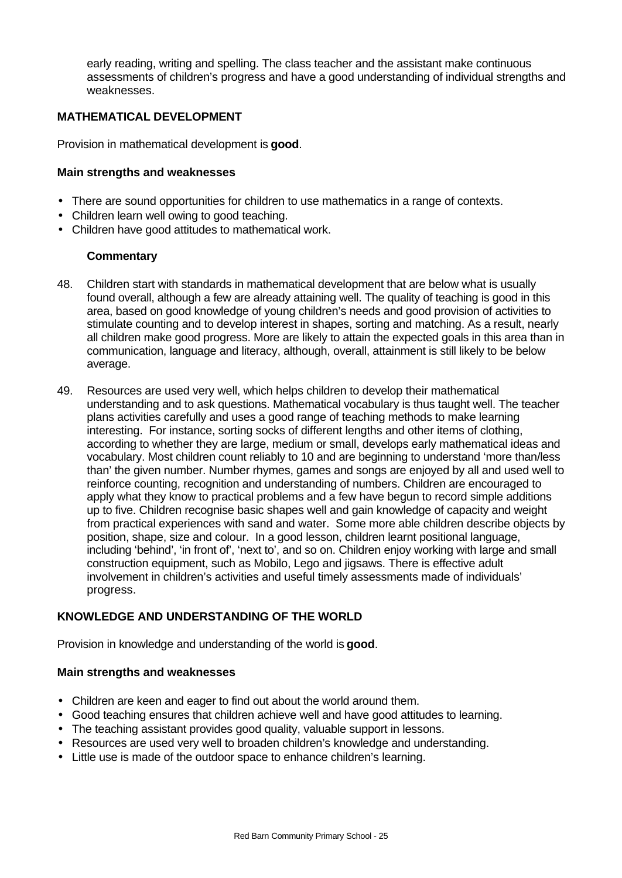early reading, writing and spelling. The class teacher and the assistant make continuous assessments of children's progress and have a good understanding of individual strengths and weaknesses.

## **MATHEMATICAL DEVELOPMENT**

Provision in mathematical development is **good**.

#### **Main strengths and weaknesses**

- There are sound opportunities for children to use mathematics in a range of contexts.
- Children learn well owing to good teaching.
- Children have good attitudes to mathematical work.

#### **Commentary**

- 48. Children start with standards in mathematical development that are below what is usually found overall, although a few are already attaining well. The quality of teaching is good in this area, based on good knowledge of young children's needs and good provision of activities to stimulate counting and to develop interest in shapes, sorting and matching. As a result, nearly all children make good progress. More are likely to attain the expected goals in this area than in communication, language and literacy, although, overall, attainment is still likely to be below average.
- 49. Resources are used very well, which helps children to develop their mathematical understanding and to ask questions. Mathematical vocabulary is thus taught well. The teacher plans activities carefully and uses a good range of teaching methods to make learning interesting. For instance, sorting socks of different lengths and other items of clothing, according to whether they are large, medium or small, develops early mathematical ideas and vocabulary. Most children count reliably to 10 and are beginning to understand 'more than/less than' the given number. Number rhymes, games and songs are enjoyed by all and used well to reinforce counting, recognition and understanding of numbers. Children are encouraged to apply what they know to practical problems and a few have begun to record simple additions up to five. Children recognise basic shapes well and gain knowledge of capacity and weight from practical experiences with sand and water. Some more able children describe objects by position, shape, size and colour. In a good lesson, children learnt positional language, including 'behind', 'in front of', 'next to', and so on. Children enjoy working with large and small construction equipment, such as Mobilo, Lego and jigsaws. There is effective adult involvement in children's activities and useful timely assessments made of individuals' progress.

## **KNOWLEDGE AND UNDERSTANDING OF THE WORLD**

Provision in knowledge and understanding of the world is **good**.

#### **Main strengths and weaknesses**

- Children are keen and eager to find out about the world around them.
- Good teaching ensures that children achieve well and have good attitudes to learning.
- The teaching assistant provides good quality, valuable support in lessons.
- Resources are used very well to broaden children's knowledge and understanding.
- Little use is made of the outdoor space to enhance children's learning.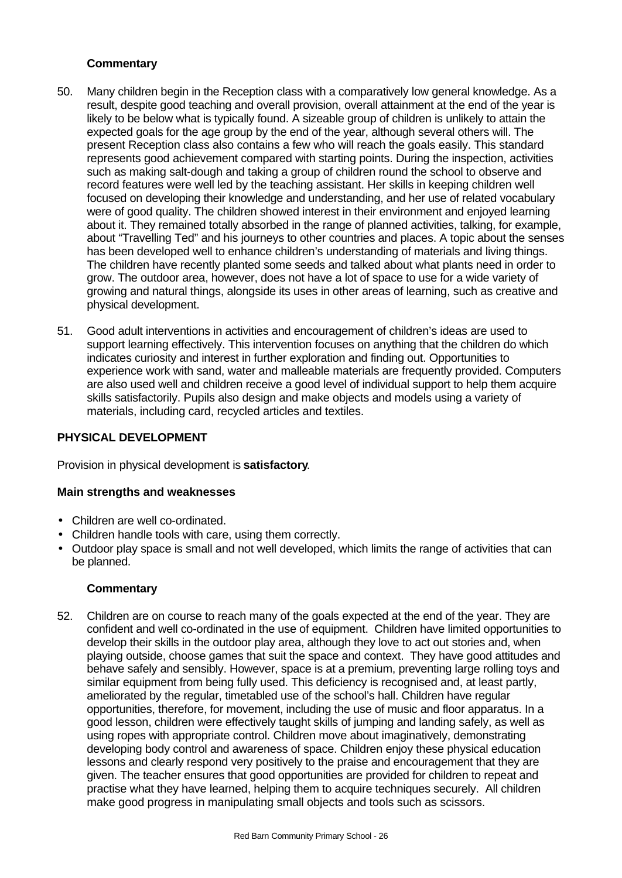## **Commentary**

- 50. Many children begin in the Reception class with a comparatively low general knowledge. As a result, despite good teaching and overall provision, overall attainment at the end of the year is likely to be below what is typically found. A sizeable group of children is unlikely to attain the expected goals for the age group by the end of the year, although several others will. The present Reception class also contains a few who will reach the goals easily. This standard represents good achievement compared with starting points. During the inspection, activities such as making salt-dough and taking a group of children round the school to observe and record features were well led by the teaching assistant. Her skills in keeping children well focused on developing their knowledge and understanding, and her use of related vocabulary were of good quality. The children showed interest in their environment and enjoyed learning about it. They remained totally absorbed in the range of planned activities, talking, for example, about "Travelling Ted" and his journeys to other countries and places. A topic about the senses has been developed well to enhance children's understanding of materials and living things. The children have recently planted some seeds and talked about what plants need in order to grow. The outdoor area, however, does not have a lot of space to use for a wide variety of growing and natural things, alongside its uses in other areas of learning, such as creative and physical development.
- 51. Good adult interventions in activities and encouragement of children's ideas are used to support learning effectively. This intervention focuses on anything that the children do which indicates curiosity and interest in further exploration and finding out. Opportunities to experience work with sand, water and malleable materials are frequently provided. Computers are also used well and children receive a good level of individual support to help them acquire skills satisfactorily. Pupils also design and make objects and models using a variety of materials, including card, recycled articles and textiles.

## **PHYSICAL DEVELOPMENT**

Provision in physical development is **satisfactory**.

## **Main strengths and weaknesses**

- Children are well co-ordinated.
- Children handle tools with care, using them correctly.
- Outdoor play space is small and not well developed, which limits the range of activities that can be planned.

## **Commentary**

52. Children are on course to reach many of the goals expected at the end of the year. They are confident and well co-ordinated in the use of equipment. Children have limited opportunities to develop their skills in the outdoor play area, although they love to act out stories and, when playing outside, choose games that suit the space and context. They have good attitudes and behave safely and sensibly. However, space is at a premium, preventing large rolling toys and similar equipment from being fully used. This deficiency is recognised and, at least partly, ameliorated by the regular, timetabled use of the school's hall. Children have regular opportunities, therefore, for movement, including the use of music and floor apparatus. In a good lesson, children were effectively taught skills of jumping and landing safely, as well as using ropes with appropriate control. Children move about imaginatively, demonstrating developing body control and awareness of space. Children enjoy these physical education lessons and clearly respond very positively to the praise and encouragement that they are given. The teacher ensures that good opportunities are provided for children to repeat and practise what they have learned, helping them to acquire techniques securely. All children make good progress in manipulating small objects and tools such as scissors.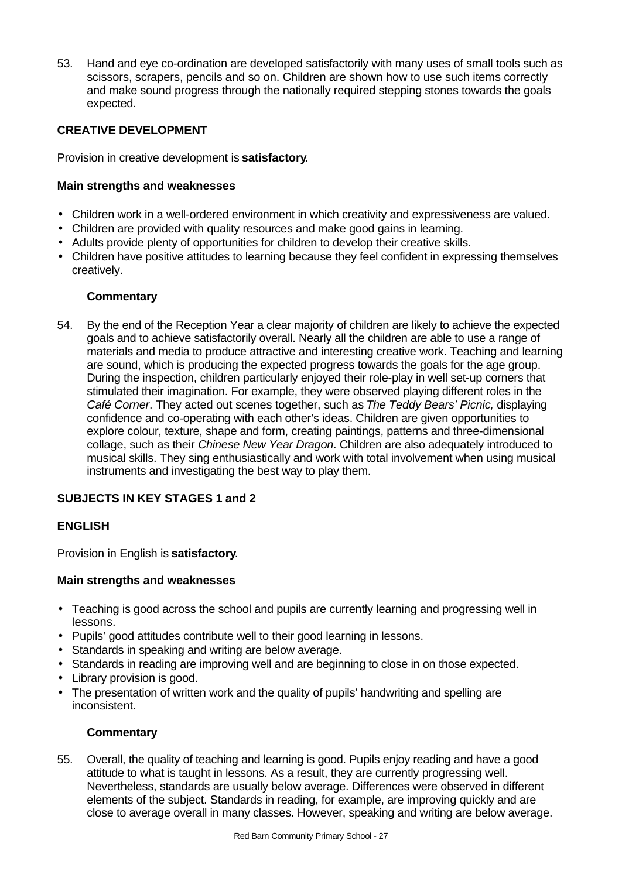53. Hand and eye co-ordination are developed satisfactorily with many uses of small tools such as scissors, scrapers, pencils and so on. Children are shown how to use such items correctly and make sound progress through the nationally required stepping stones towards the goals expected.

## **CREATIVE DEVELOPMENT**

Provision in creative development is **satisfactory**.

## **Main strengths and weaknesses**

- Children work in a well-ordered environment in which creativity and expressiveness are valued.
- Children are provided with quality resources and make good gains in learning.
- Adults provide plenty of opportunities for children to develop their creative skills.
- Children have positive attitudes to learning because they feel confident in expressing themselves creatively.

## **Commentary**

54. By the end of the Reception Year a clear majority of children are likely to achieve the expected goals and to achieve satisfactorily overall. Nearly all the children are able to use a range of materials and media to produce attractive and interesting creative work. Teaching and learning are sound, which is producing the expected progress towards the goals for the age group. During the inspection, children particularly enjoyed their role-play in well set-up corners that stimulated their imagination. For example, they were observed playing different roles in the *Café Corner*. They acted out scenes together, such as *The Teddy Bears' Picnic,* displaying confidence and co-operating with each other's ideas. Children are given opportunities to explore colour, texture, shape and form, creating paintings, patterns and three-dimensional collage, such as their *Chinese New Year Dragon*. Children are also adequately introduced to musical skills. They sing enthusiastically and work with total involvement when using musical instruments and investigating the best way to play them.

## **SUBJECTS IN KEY STAGES 1 and 2**

## **ENGLISH**

Provision in English is **satisfactory**.

## **Main strengths and weaknesses**

- Teaching is good across the school and pupils are currently learning and progressing well in lessons.
- Pupils' good attitudes contribute well to their good learning in lessons.
- Standards in speaking and writing are below average.
- Standards in reading are improving well and are beginning to close in on those expected.
- Library provision is good.
- The presentation of written work and the quality of pupils' handwriting and spelling are inconsistent.

## **Commentary**

55. Overall, the quality of teaching and learning is good. Pupils enjoy reading and have a good attitude to what is taught in lessons. As a result, they are currently progressing well. Nevertheless, standards are usually below average. Differences were observed in different elements of the subject. Standards in reading, for example, are improving quickly and are close to average overall in many classes. However, speaking and writing are below average.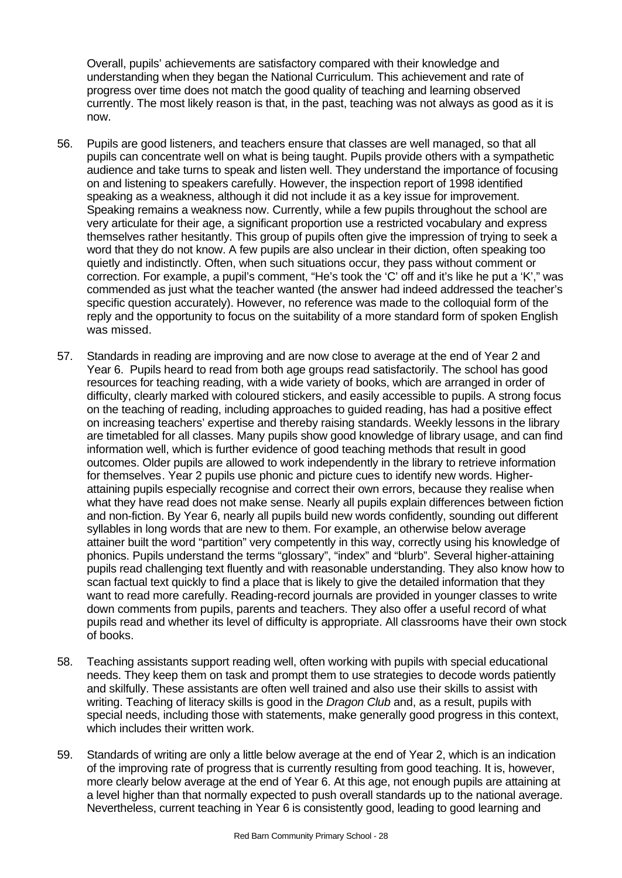Overall, pupils' achievements are satisfactory compared with their knowledge and understanding when they began the National Curriculum. This achievement and rate of progress over time does not match the good quality of teaching and learning observed currently. The most likely reason is that, in the past, teaching was not always as good as it is now.

- 56. Pupils are good listeners, and teachers ensure that classes are well managed, so that all pupils can concentrate well on what is being taught. Pupils provide others with a sympathetic audience and take turns to speak and listen well. They understand the importance of focusing on and listening to speakers carefully. However, the inspection report of 1998 identified speaking as a weakness, although it did not include it as a key issue for improvement. Speaking remains a weakness now. Currently, while a few pupils throughout the school are very articulate for their age, a significant proportion use a restricted vocabulary and express themselves rather hesitantly. This group of pupils often give the impression of trying to seek a word that they do not know. A few pupils are also unclear in their diction, often speaking too quietly and indistinctly. Often, when such situations occur, they pass without comment or correction. For example, a pupil's comment, "He's took the 'C' off and it's like he put a 'K'," was commended as just what the teacher wanted (the answer had indeed addressed the teacher's specific question accurately). However, no reference was made to the colloquial form of the reply and the opportunity to focus on the suitability of a more standard form of spoken English was missed.
- 57. Standards in reading are improving and are now close to average at the end of Year 2 and Year 6. Pupils heard to read from both age groups read satisfactorily. The school has good resources for teaching reading, with a wide variety of books, which are arranged in order of difficulty, clearly marked with coloured stickers, and easily accessible to pupils. A strong focus on the teaching of reading, including approaches to guided reading, has had a positive effect on increasing teachers' expertise and thereby raising standards. Weekly lessons in the library are timetabled for all classes. Many pupils show good knowledge of library usage, and can find information well, which is further evidence of good teaching methods that result in good outcomes. Older pupils are allowed to work independently in the library to retrieve information for themselves. Year 2 pupils use phonic and picture cues to identify new words. Higherattaining pupils especially recognise and correct their own errors, because they realise when what they have read does not make sense. Nearly all pupils explain differences between fiction and non-fiction. By Year 6, nearly all pupils build new words confidently, sounding out different syllables in long words that are new to them. For example, an otherwise below average attainer built the word "partition" very competently in this way, correctly using his knowledge of phonics. Pupils understand the terms "glossary", "index" and "blurb". Several higher-attaining pupils read challenging text fluently and with reasonable understanding. They also know how to scan factual text quickly to find a place that is likely to give the detailed information that they want to read more carefully. Reading-record journals are provided in younger classes to write down comments from pupils, parents and teachers. They also offer a useful record of what pupils read and whether its level of difficulty is appropriate. All classrooms have their own stock of books.
- 58. Teaching assistants support reading well, often working with pupils with special educational needs. They keep them on task and prompt them to use strategies to decode words patiently and skilfully. These assistants are often well trained and also use their skills to assist with writing. Teaching of literacy skills is good in the *Dragon Club* and, as a result, pupils with special needs, including those with statements, make generally good progress in this context, which includes their written work.
- 59. Standards of writing are only a little below average at the end of Year 2, which is an indication of the improving rate of progress that is currently resulting from good teaching. It is, however, more clearly below average at the end of Year 6. At this age, not enough pupils are attaining at a level higher than that normally expected to push overall standards up to the national average. Nevertheless, current teaching in Year 6 is consistently good, leading to good learning and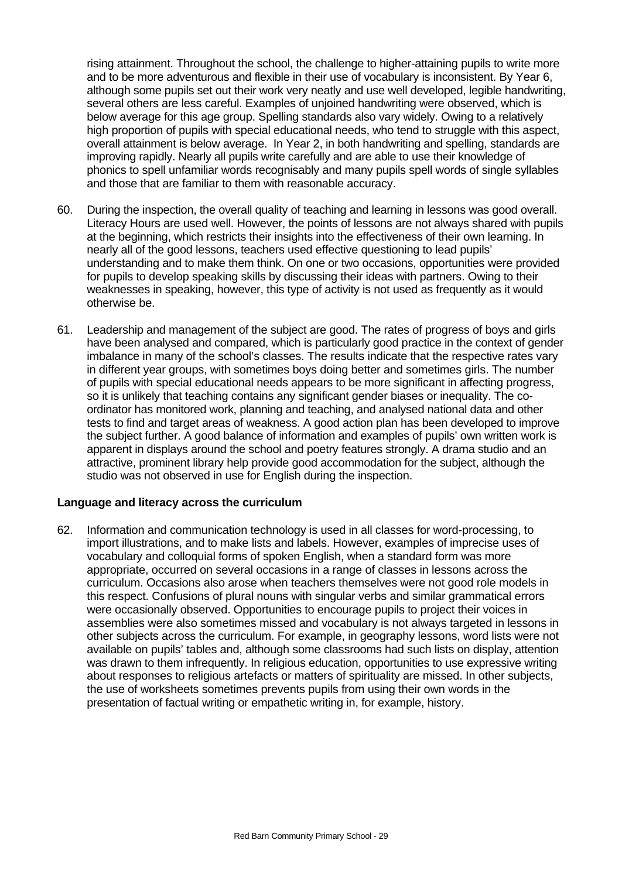rising attainment. Throughout the school, the challenge to higher-attaining pupils to write more and to be more adventurous and flexible in their use of vocabulary is inconsistent. By Year 6, although some pupils set out their work very neatly and use well developed, legible handwriting, several others are less careful. Examples of unjoined handwriting were observed, which is below average for this age group. Spelling standards also vary widely. Owing to a relatively high proportion of pupils with special educational needs, who tend to struggle with this aspect, overall attainment is below average. In Year 2, in both handwriting and spelling, standards are improving rapidly. Nearly all pupils write carefully and are able to use their knowledge of phonics to spell unfamiliar words recognisably and many pupils spell words of single syllables and those that are familiar to them with reasonable accuracy.

- 60. During the inspection, the overall quality of teaching and learning in lessons was good overall. Literacy Hours are used well. However, the points of lessons are not always shared with pupils at the beginning, which restricts their insights into the effectiveness of their own learning. In nearly all of the good lessons, teachers used effective questioning to lead pupils' understanding and to make them think. On one or two occasions, opportunities were provided for pupils to develop speaking skills by discussing their ideas with partners. Owing to their weaknesses in speaking, however, this type of activity is not used as frequently as it would otherwise be.
- 61. Leadership and management of the subject are good. The rates of progress of boys and girls have been analysed and compared, which is particularly good practice in the context of gender imbalance in many of the school's classes. The results indicate that the respective rates vary in different year groups, with sometimes boys doing better and sometimes girls. The number of pupils with special educational needs appears to be more significant in affecting progress, so it is unlikely that teaching contains any significant gender biases or inequality. The coordinator has monitored work, planning and teaching, and analysed national data and other tests to find and target areas of weakness. A good action plan has been developed to improve the subject further. A good balance of information and examples of pupils' own written work is apparent in displays around the school and poetry features strongly. A drama studio and an attractive, prominent library help provide good accommodation for the subject, although the studio was not observed in use for English during the inspection.

#### **Language and literacy across the curriculum**

62. Information and communication technology is used in all classes for word-processing, to import illustrations, and to make lists and labels. However, examples of imprecise uses of vocabulary and colloquial forms of spoken English, when a standard form was more appropriate, occurred on several occasions in a range of classes in lessons across the curriculum. Occasions also arose when teachers themselves were not good role models in this respect. Confusions of plural nouns with singular verbs and similar grammatical errors were occasionally observed. Opportunities to encourage pupils to project their voices in assemblies were also sometimes missed and vocabulary is not always targeted in lessons in other subjects across the curriculum. For example, in geography lessons, word lists were not available on pupils' tables and, although some classrooms had such lists on display, attention was drawn to them infrequently. In religious education, opportunities to use expressive writing about responses to religious artefacts or matters of spirituality are missed. In other subjects, the use of worksheets sometimes prevents pupils from using their own words in the presentation of factual writing or empathetic writing in, for example, history.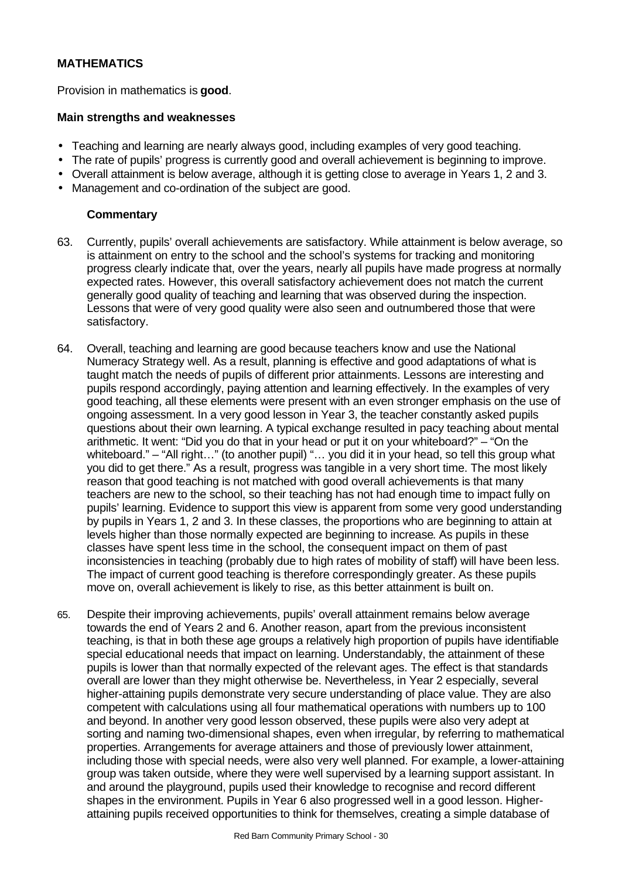## **MATHEMATICS**

Provision in mathematics is **good**.

#### **Main strengths and weaknesses**

- Teaching and learning are nearly always good, including examples of very good teaching.
- The rate of pupils' progress is currently good and overall achievement is beginning to improve.
- Overall attainment is below average, although it is getting close to average in Years 1, 2 and 3.
- Management and co-ordination of the subject are good.

- 63. Currently, pupils' overall achievements are satisfactory. While attainment is below average, so is attainment on entry to the school and the school's systems for tracking and monitoring progress clearly indicate that, over the years, nearly all pupils have made progress at normally expected rates. However, this overall satisfactory achievement does not match the current generally good quality of teaching and learning that was observed during the inspection. Lessons that were of very good quality were also seen and outnumbered those that were satisfactory.
- 64. Overall, teaching and learning are good because teachers know and use the National Numeracy Strategy well. As a result, planning is effective and good adaptations of what is taught match the needs of pupils of different prior attainments. Lessons are interesting and pupils respond accordingly, paying attention and learning effectively. In the examples of very good teaching, all these elements were present with an even stronger emphasis on the use of ongoing assessment. In a very good lesson in Year 3, the teacher constantly asked pupils questions about their own learning. A typical exchange resulted in pacy teaching about mental arithmetic. It went: "Did you do that in your head or put it on your whiteboard?" – "On the whiteboard." – "All right…" (to another pupil) "… you did it in your head, so tell this group what you did to get there." As a result, progress was tangible in a very short time. The most likely reason that good teaching is not matched with good overall achievements is that many teachers are new to the school, so their teaching has not had enough time to impact fully on pupils' learning. Evidence to support this view is apparent from some very good understanding by pupils in Years 1, 2 and 3. In these classes, the proportions who are beginning to attain at levels higher than those normally expected are beginning to increase. As pupils in these classes have spent less time in the school, the consequent impact on them of past inconsistencies in teaching (probably due to high rates of mobility of staff) will have been less. The impact of current good teaching is therefore correspondingly greater. As these pupils move on, overall achievement is likely to rise, as this better attainment is built on.
- 65. Despite their improving achievements, pupils' overall attainment remains below average towards the end of Years 2 and 6. Another reason, apart from the previous inconsistent teaching, is that in both these age groups a relatively high proportion of pupils have identifiable special educational needs that impact on learning. Understandably, the attainment of these pupils is lower than that normally expected of the relevant ages. The effect is that standards overall are lower than they might otherwise be. Nevertheless, in Year 2 especially, several higher-attaining pupils demonstrate very secure understanding of place value. They are also competent with calculations using all four mathematical operations with numbers up to 100 and beyond. In another very good lesson observed, these pupils were also very adept at sorting and naming two-dimensional shapes, even when irregular, by referring to mathematical properties. Arrangements for average attainers and those of previously lower attainment, including those with special needs, were also very well planned. For example, a lower-attaining group was taken outside, where they were well supervised by a learning support assistant. In and around the playground, pupils used their knowledge to recognise and record different shapes in the environment. Pupils in Year 6 also progressed well in a good lesson. Higherattaining pupils received opportunities to think for themselves, creating a simple database of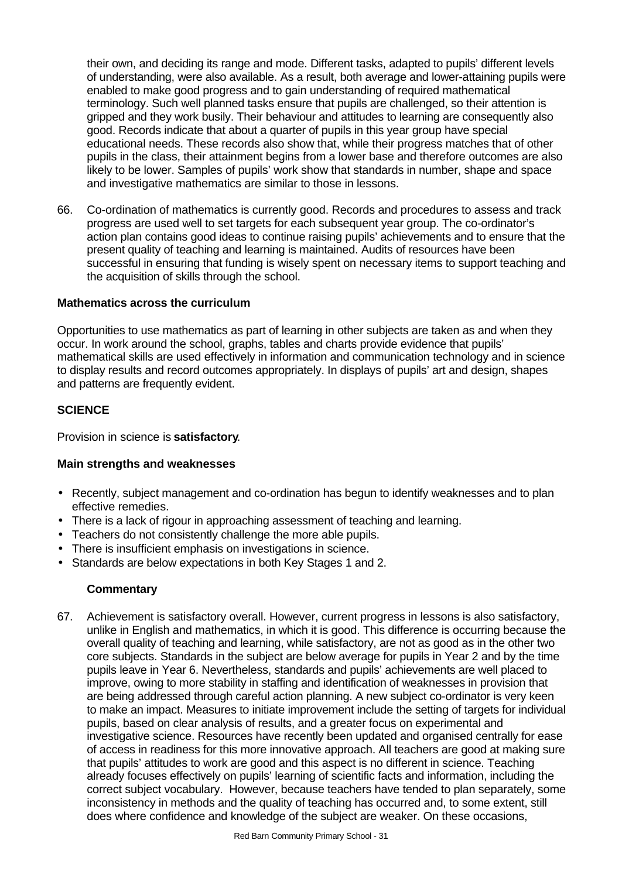their own, and deciding its range and mode. Different tasks, adapted to pupils' different levels of understanding, were also available. As a result, both average and lower-attaining pupils were enabled to make good progress and to gain understanding of required mathematical terminology. Such well planned tasks ensure that pupils are challenged, so their attention is gripped and they work busily. Their behaviour and attitudes to learning are consequently also good. Records indicate that about a quarter of pupils in this year group have special educational needs. These records also show that, while their progress matches that of other pupils in the class, their attainment begins from a lower base and therefore outcomes are also likely to be lower. Samples of pupils' work show that standards in number, shape and space and investigative mathematics are similar to those in lessons.

66. Co-ordination of mathematics is currently good. Records and procedures to assess and track progress are used well to set targets for each subsequent year group. The co-ordinator's action plan contains good ideas to continue raising pupils' achievements and to ensure that the present quality of teaching and learning is maintained. Audits of resources have been successful in ensuring that funding is wisely spent on necessary items to support teaching and the acquisition of skills through the school.

## **Mathematics across the curriculum**

Opportunities to use mathematics as part of learning in other subjects are taken as and when they occur. In work around the school, graphs, tables and charts provide evidence that pupils' mathematical skills are used effectively in information and communication technology and in science to display results and record outcomes appropriately. In displays of pupils' art and design, shapes and patterns are frequently evident.

## **SCIENCE**

Provision in science is **satisfactory**.

## **Main strengths and weaknesses**

- Recently, subject management and co-ordination has begun to identify weaknesses and to plan effective remedies.
- There is a lack of rigour in approaching assessment of teaching and learning.
- Teachers do not consistently challenge the more able pupils.
- There is insufficient emphasis on investigations in science.
- Standards are below expectations in both Key Stages 1 and 2.

## **Commentary**

67. Achievement is satisfactory overall. However, current progress in lessons is also satisfactory, unlike in English and mathematics, in which it is good. This difference is occurring because the overall quality of teaching and learning, while satisfactory, are not as good as in the other two core subjects. Standards in the subject are below average for pupils in Year 2 and by the time pupils leave in Year 6. Nevertheless, standards and pupils' achievements are well placed to improve, owing to more stability in staffing and identification of weaknesses in provision that are being addressed through careful action planning. A new subject co-ordinator is very keen to make an impact. Measures to initiate improvement include the setting of targets for individual pupils, based on clear analysis of results, and a greater focus on experimental and investigative science. Resources have recently been updated and organised centrally for ease of access in readiness for this more innovative approach. All teachers are good at making sure that pupils' attitudes to work are good and this aspect is no different in science. Teaching already focuses effectively on pupils' learning of scientific facts and information, including the correct subject vocabulary. However, because teachers have tended to plan separately, some inconsistency in methods and the quality of teaching has occurred and, to some extent, still does where confidence and knowledge of the subject are weaker. On these occasions,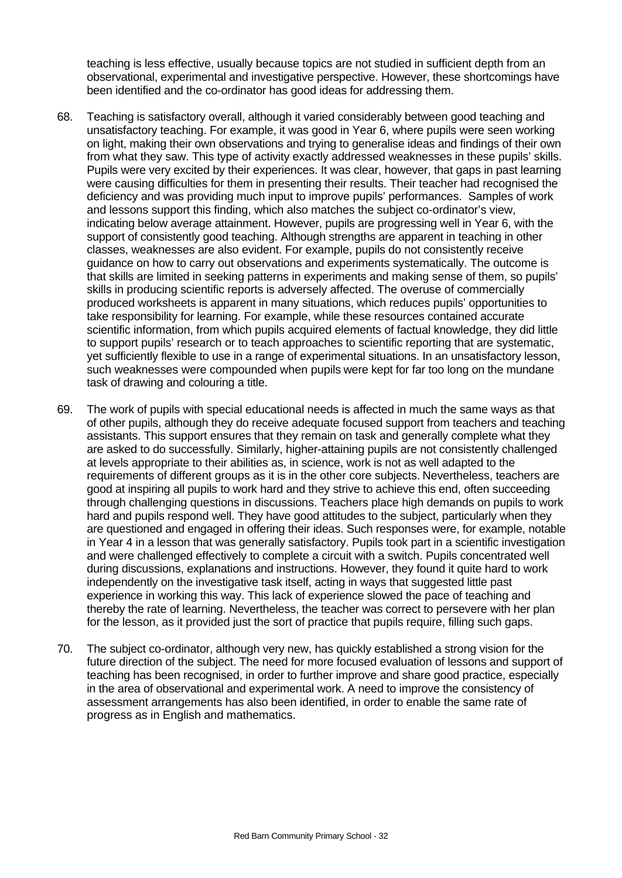teaching is less effective, usually because topics are not studied in sufficient depth from an observational, experimental and investigative perspective. However, these shortcomings have been identified and the co-ordinator has good ideas for addressing them.

- 68. Teaching is satisfactory overall, although it varied considerably between good teaching and unsatisfactory teaching. For example, it was good in Year 6, where pupils were seen working on light, making their own observations and trying to generalise ideas and findings of their own from what they saw. This type of activity exactly addressed weaknesses in these pupils' skills. Pupils were very excited by their experiences. It was clear, however, that gaps in past learning were causing difficulties for them in presenting their results. Their teacher had recognised the deficiency and was providing much input to improve pupils' performances. Samples of work and lessons support this finding, which also matches the subject co-ordinator's view, indicating below average attainment. However, pupils are progressing well in Year 6, with the support of consistently good teaching. Although strengths are apparent in teaching in other classes, weaknesses are also evident. For example, pupils do not consistently receive guidance on how to carry out observations and experiments systematically. The outcome is that skills are limited in seeking patterns in experiments and making sense of them, so pupils' skills in producing scientific reports is adversely affected. The overuse of commercially produced worksheets is apparent in many situations, which reduces pupils' opportunities to take responsibility for learning. For example, while these resources contained accurate scientific information, from which pupils acquired elements of factual knowledge, they did little to support pupils' research or to teach approaches to scientific reporting that are systematic, yet sufficiently flexible to use in a range of experimental situations. In an unsatisfactory lesson, such weaknesses were compounded when pupils were kept for far too long on the mundane task of drawing and colouring a title.
- 69. The work of pupils with special educational needs is affected in much the same ways as that of other pupils, although they do receive adequate focused support from teachers and teaching assistants. This support ensures that they remain on task and generally complete what they are asked to do successfully. Similarly, higher-attaining pupils are not consistently challenged at levels appropriate to their abilities as, in science, work is not as well adapted to the requirements of different groups as it is in the other core subjects. Nevertheless, teachers are good at inspiring all pupils to work hard and they strive to achieve this end, often succeeding through challenging questions in discussions. Teachers place high demands on pupils to work hard and pupils respond well. They have good attitudes to the subject, particularly when they are questioned and engaged in offering their ideas. Such responses were, for example, notable in Year 4 in a lesson that was generally satisfactory. Pupils took part in a scientific investigation and were challenged effectively to complete a circuit with a switch. Pupils concentrated well during discussions, explanations and instructions. However, they found it quite hard to work independently on the investigative task itself, acting in ways that suggested little past experience in working this way. This lack of experience slowed the pace of teaching and thereby the rate of learning. Nevertheless, the teacher was correct to persevere with her plan for the lesson, as it provided just the sort of practice that pupils require, filling such gaps.
- 70. The subject co-ordinator, although very new, has quickly established a strong vision for the future direction of the subject. The need for more focused evaluation of lessons and support of teaching has been recognised, in order to further improve and share good practice, especially in the area of observational and experimental work. A need to improve the consistency of assessment arrangements has also been identified, in order to enable the same rate of progress as in English and mathematics.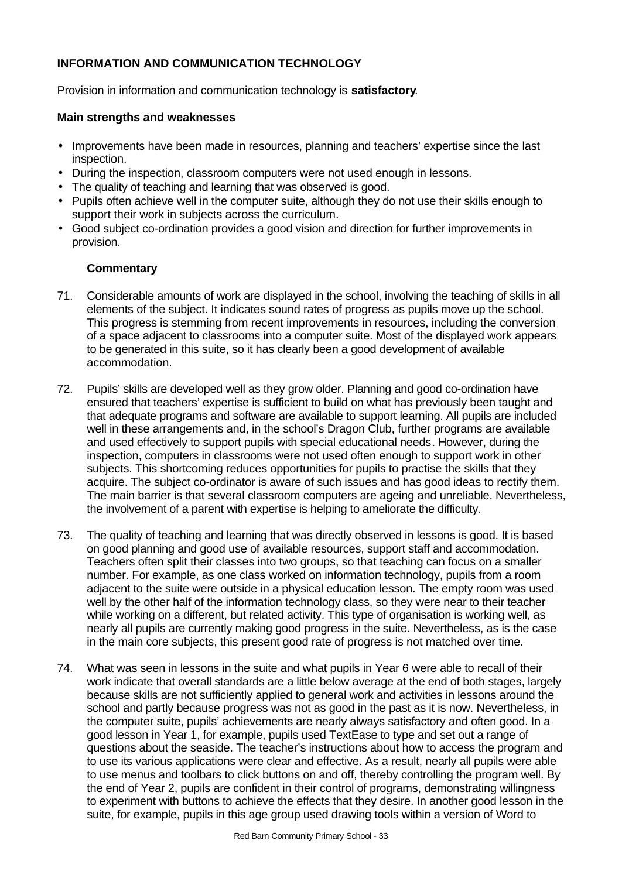## **INFORMATION AND COMMUNICATION TECHNOLOGY**

Provision in information and communication technology is **satisfactory**.

## **Main strengths and weaknesses**

- Improvements have been made in resources, planning and teachers' expertise since the last inspection.
- During the inspection, classroom computers were not used enough in lessons.
- The quality of teaching and learning that was observed is good.
- Pupils often achieve well in the computer suite, although they do not use their skills enough to support their work in subjects across the curriculum.
- Good subject co-ordination provides a good vision and direction for further improvements in provision.

- 71. Considerable amounts of work are displayed in the school, involving the teaching of skills in all elements of the subject. It indicates sound rates of progress as pupils move up the school. This progress is stemming from recent improvements in resources, including the conversion of a space adjacent to classrooms into a computer suite. Most of the displayed work appears to be generated in this suite, so it has clearly been a good development of available accommodation.
- 72. Pupils' skills are developed well as they grow older. Planning and good co-ordination have ensured that teachers' expertise is sufficient to build on what has previously been taught and that adequate programs and software are available to support learning. All pupils are included well in these arrangements and, in the school's Dragon Club, further programs are available and used effectively to support pupils with special educational needs. However, during the inspection, computers in classrooms were not used often enough to support work in other subjects. This shortcoming reduces opportunities for pupils to practise the skills that they acquire. The subject co-ordinator is aware of such issues and has good ideas to rectify them. The main barrier is that several classroom computers are ageing and unreliable. Nevertheless, the involvement of a parent with expertise is helping to ameliorate the difficulty.
- 73. The quality of teaching and learning that was directly observed in lessons is good. It is based on good planning and good use of available resources, support staff and accommodation. Teachers often split their classes into two groups, so that teaching can focus on a smaller number. For example, as one class worked on information technology, pupils from a room adjacent to the suite were outside in a physical education lesson. The empty room was used well by the other half of the information technology class, so they were near to their teacher while working on a different, but related activity. This type of organisation is working well, as nearly all pupils are currently making good progress in the suite. Nevertheless, as is the case in the main core subjects, this present good rate of progress is not matched over time.
- 74. What was seen in lessons in the suite and what pupils in Year 6 were able to recall of their work indicate that overall standards are a little below average at the end of both stages, largely because skills are not sufficiently applied to general work and activities in lessons around the school and partly because progress was not as good in the past as it is now. Nevertheless, in the computer suite, pupils' achievements are nearly always satisfactory and often good. In a good lesson in Year 1, for example, pupils used TextEase to type and set out a range of questions about the seaside. The teacher's instructions about how to access the program and to use its various applications were clear and effective. As a result, nearly all pupils were able to use menus and toolbars to click buttons on and off, thereby controlling the program well. By the end of Year 2, pupils are confident in their control of programs, demonstrating willingness to experiment with buttons to achieve the effects that they desire. In another good lesson in the suite, for example, pupils in this age group used drawing tools within a version of Word to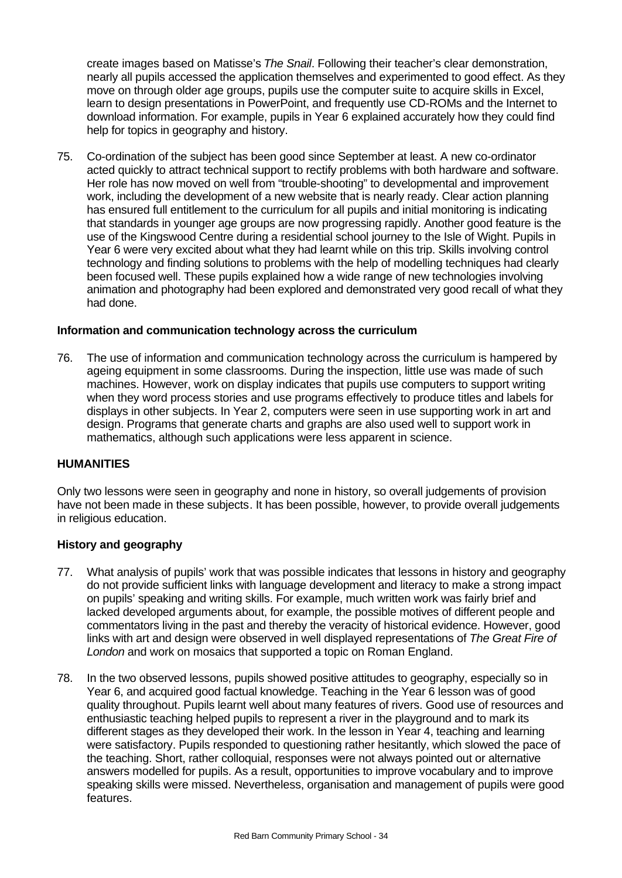create images based on Matisse's *The Snail*. Following their teacher's clear demonstration, nearly all pupils accessed the application themselves and experimented to good effect. As they move on through older age groups, pupils use the computer suite to acquire skills in Excel, learn to design presentations in PowerPoint, and frequently use CD-ROMs and the Internet to download information. For example, pupils in Year 6 explained accurately how they could find help for topics in geography and history.

75. Co-ordination of the subject has been good since September at least. A new co-ordinator acted quickly to attract technical support to rectify problems with both hardware and software. Her role has now moved on well from "trouble-shooting" to developmental and improvement work, including the development of a new website that is nearly ready. Clear action planning has ensured full entitlement to the curriculum for all pupils and initial monitoring is indicating that standards in younger age groups are now progressing rapidly. Another good feature is the use of the Kingswood Centre during a residential school journey to the Isle of Wight. Pupils in Year 6 were very excited about what they had learnt while on this trip. Skills involving control technology and finding solutions to problems with the help of modelling techniques had clearly been focused well. These pupils explained how a wide range of new technologies involving animation and photography had been explored and demonstrated very good recall of what they had done.

#### **Information and communication technology across the curriculum**

76. The use of information and communication technology across the curriculum is hampered by ageing equipment in some classrooms. During the inspection, little use was made of such machines. However, work on display indicates that pupils use computers to support writing when they word process stories and use programs effectively to produce titles and labels for displays in other subjects. In Year 2, computers were seen in use supporting work in art and design. Programs that generate charts and graphs are also used well to support work in mathematics, although such applications were less apparent in science.

#### **HUMANITIES**

Only two lessons were seen in geography and none in history, so overall judgements of provision have not been made in these subjects. It has been possible, however, to provide overall judgements in religious education.

## **History and geography**

- 77. What analysis of pupils' work that was possible indicates that lessons in history and geography do not provide sufficient links with language development and literacy to make a strong impact on pupils' speaking and writing skills. For example, much written work was fairly brief and lacked developed arguments about, for example, the possible motives of different people and commentators living in the past and thereby the veracity of historical evidence. However, good links with art and design were observed in well displayed representations of *The Great Fire of London* and work on mosaics that supported a topic on Roman England.
- 78. In the two observed lessons, pupils showed positive attitudes to geography, especially so in Year 6, and acquired good factual knowledge. Teaching in the Year 6 lesson was of good quality throughout. Pupils learnt well about many features of rivers. Good use of resources and enthusiastic teaching helped pupils to represent a river in the playground and to mark its different stages as they developed their work. In the lesson in Year 4, teaching and learning were satisfactory. Pupils responded to questioning rather hesitantly, which slowed the pace of the teaching. Short, rather colloquial, responses were not always pointed out or alternative answers modelled for pupils. As a result, opportunities to improve vocabulary and to improve speaking skills were missed. Nevertheless, organisation and management of pupils were good features.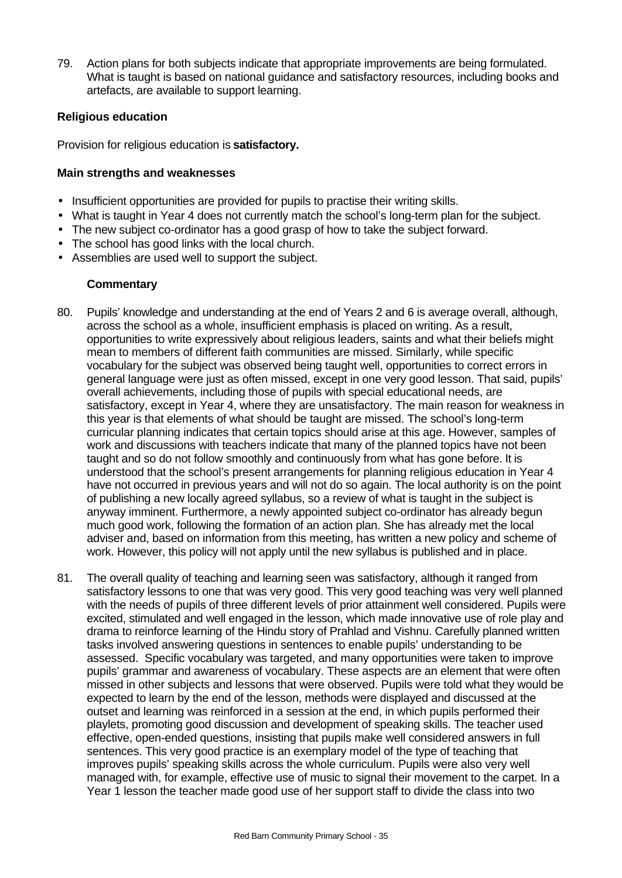79. Action plans for both subjects indicate that appropriate improvements are being formulated. What is taught is based on national guidance and satisfactory resources, including books and artefacts, are available to support learning.

## **Religious education**

Provision for religious education is **satisfactory.**

## **Main strengths and weaknesses**

- Insufficient opportunities are provided for pupils to practise their writing skills.
- What is taught in Year 4 does not currently match the school's long-term plan for the subject.
- The new subject co-ordinator has a good grasp of how to take the subject forward.
- The school has good links with the local church.
- Assemblies are used well to support the subject.

- 80. Pupils' knowledge and understanding at the end of Years 2 and 6 is average overall, although, across the school as a whole, insufficient emphasis is placed on writing. As a result, opportunities to write expressively about religious leaders, saints and what their beliefs might mean to members of different faith communities are missed. Similarly, while specific vocabulary for the subject was observed being taught well, opportunities to correct errors in general language were just as often missed, except in one very good lesson. That said, pupils' overall achievements, including those of pupils with special educational needs, are satisfactory, except in Year 4, where they are unsatisfactory. The main reason for weakness in this year is that elements of what should be taught are missed. The school's long-term curricular planning indicates that certain topics should arise at this age. However, samples of work and discussions with teachers indicate that many of the planned topics have not been taught and so do not follow smoothly and continuously from what has gone before. It is understood that the school's present arrangements for planning religious education in Year 4 have not occurred in previous years and will not do so again. The local authority is on the point of publishing a new locally agreed syllabus, so a review of what is taught in the subject is anyway imminent. Furthermore, a newly appointed subject co-ordinator has already begun much good work, following the formation of an action plan. She has already met the local adviser and, based on information from this meeting, has written a new policy and scheme of work. However, this policy will not apply until the new syllabus is published and in place.
- 81. The overall quality of teaching and learning seen was satisfactory, although it ranged from satisfactory lessons to one that was very good. This very good teaching was very well planned with the needs of pupils of three different levels of prior attainment well considered. Pupils were excited, stimulated and well engaged in the lesson, which made innovative use of role play and drama to reinforce learning of the Hindu story of Prahlad and Vishnu. Carefully planned written tasks involved answering questions in sentences to enable pupils' understanding to be assessed. Specific vocabulary was targeted, and many opportunities were taken to improve pupils' grammar and awareness of vocabulary. These aspects are an element that were often missed in other subjects and lessons that were observed. Pupils were told what they would be expected to learn by the end of the lesson, methods were displayed and discussed at the outset and learning was reinforced in a session at the end, in which pupils performed their playlets, promoting good discussion and development of speaking skills. The teacher used effective, open-ended questions, insisting that pupils make well considered answers in full sentences. This very good practice is an exemplary model of the type of teaching that improves pupils' speaking skills across the whole curriculum. Pupils were also very well managed with, for example, effective use of music to signal their movement to the carpet. In a Year 1 lesson the teacher made good use of her support staff to divide the class into two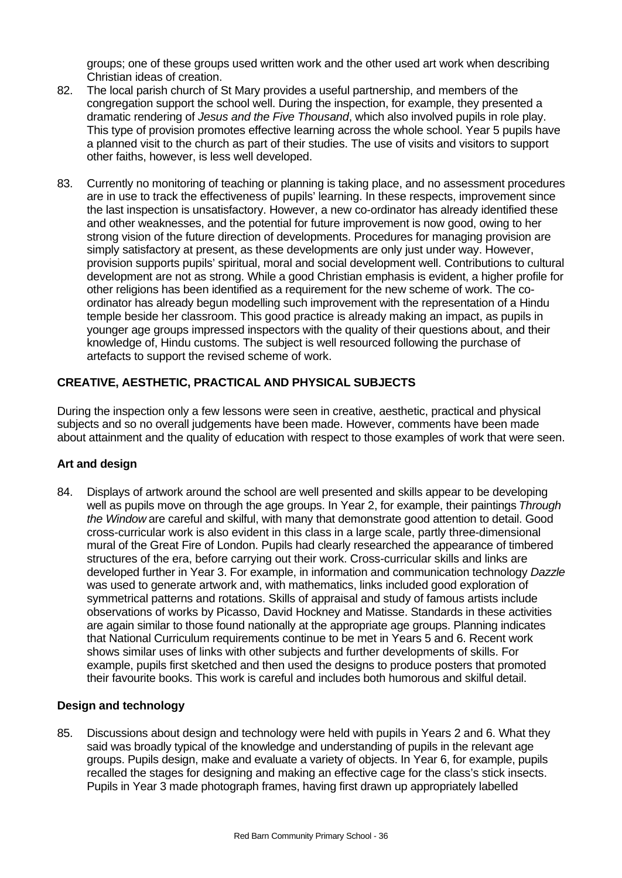groups; one of these groups used written work and the other used art work when describing Christian ideas of creation.

- 82. The local parish church of St Mary provides a useful partnership, and members of the congregation support the school well. During the inspection, for example, they presented a dramatic rendering of *Jesus and the Five Thousand*, which also involved pupils in role play. This type of provision promotes effective learning across the whole school. Year 5 pupils have a planned visit to the church as part of their studies. The use of visits and visitors to support other faiths, however, is less well developed.
- 83. Currently no monitoring of teaching or planning is taking place, and no assessment procedures are in use to track the effectiveness of pupils' learning. In these respects, improvement since the last inspection is unsatisfactory. However, a new co-ordinator has already identified these and other weaknesses, and the potential for future improvement is now good, owing to her strong vision of the future direction of developments. Procedures for managing provision are simply satisfactory at present, as these developments are only just under way. However, provision supports pupils' spiritual, moral and social development well. Contributions to cultural development are not as strong. While a good Christian emphasis is evident, a higher profile for other religions has been identified as a requirement for the new scheme of work. The coordinator has already begun modelling such improvement with the representation of a Hindu temple beside her classroom. This good practice is already making an impact, as pupils in younger age groups impressed inspectors with the quality of their questions about, and their knowledge of, Hindu customs. The subject is well resourced following the purchase of artefacts to support the revised scheme of work.

## **CREATIVE, AESTHETIC, PRACTICAL AND PHYSICAL SUBJECTS**

During the inspection only a few lessons were seen in creative, aesthetic, practical and physical subjects and so no overall judgements have been made. However, comments have been made about attainment and the quality of education with respect to those examples of work that were seen.

## **Art and design**

84. Displays of artwork around the school are well presented and skills appear to be developing well as pupils move on through the age groups. In Year 2, for example, their paintings *Through the Window* are careful and skilful, with many that demonstrate good attention to detail. Good cross-curricular work is also evident in this class in a large scale, partly three-dimensional mural of the Great Fire of London. Pupils had clearly researched the appearance of timbered structures of the era, before carrying out their work. Cross-curricular skills and links are developed further in Year 3. For example, in information and communication technology *Dazzle* was used to generate artwork and, with mathematics, links included good exploration of symmetrical patterns and rotations. Skills of appraisal and study of famous artists include observations of works by Picasso, David Hockney and Matisse. Standards in these activities are again similar to those found nationally at the appropriate age groups. Planning indicates that National Curriculum requirements continue to be met in Years 5 and 6. Recent work shows similar uses of links with other subjects and further developments of skills. For example, pupils first sketched and then used the designs to produce posters that promoted their favourite books. This work is careful and includes both humorous and skilful detail.

## **Design and technology**

85. Discussions about design and technology were held with pupils in Years 2 and 6. What they said was broadly typical of the knowledge and understanding of pupils in the relevant age groups. Pupils design, make and evaluate a variety of objects. In Year 6, for example, pupils recalled the stages for designing and making an effective cage for the class's stick insects. Pupils in Year 3 made photograph frames, having first drawn up appropriately labelled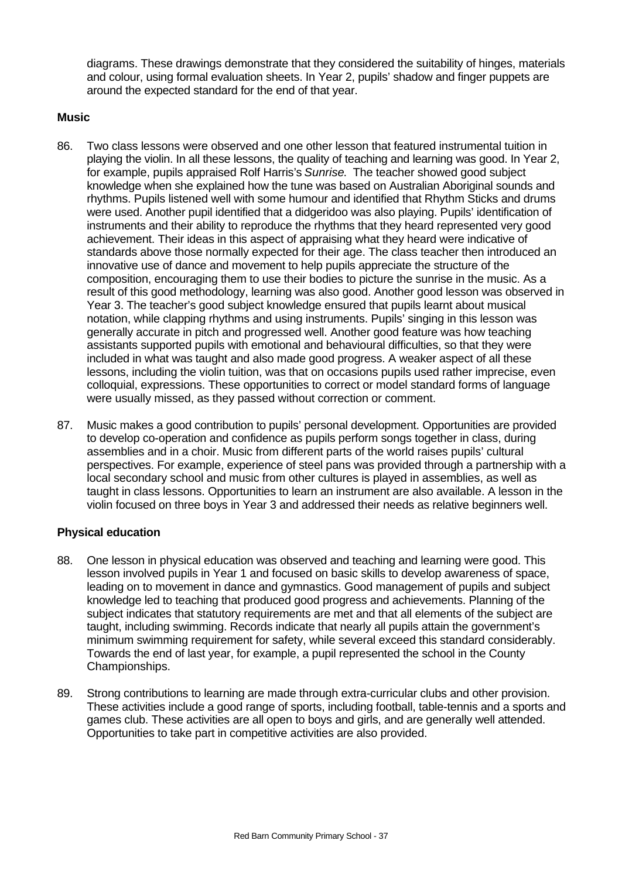diagrams. These drawings demonstrate that they considered the suitability of hinges, materials and colour, using formal evaluation sheets. In Year 2, pupils' shadow and finger puppets are around the expected standard for the end of that year.

## **Music**

- 86. Two class lessons were observed and one other lesson that featured instrumental tuition in playing the violin. In all these lessons, the quality of teaching and learning was good. In Year 2, for example, pupils appraised Rolf Harris's *Sunrise*. The teacher showed good subject knowledge when she explained how the tune was based on Australian Aboriginal sounds and rhythms. Pupils listened well with some humour and identified that Rhythm Sticks and drums were used. Another pupil identified that a didgeridoo was also playing. Pupils' identification of instruments and their ability to reproduce the rhythms that they heard represented very good achievement. Their ideas in this aspect of appraising what they heard were indicative of standards above those normally expected for their age. The class teacher then introduced an innovative use of dance and movement to help pupils appreciate the structure of the composition, encouraging them to use their bodies to picture the sunrise in the music. As a result of this good methodology, learning was also good. Another good lesson was observed in Year 3. The teacher's good subject knowledge ensured that pupils learnt about musical notation, while clapping rhythms and using instruments. Pupils' singing in this lesson was generally accurate in pitch and progressed well. Another good feature was how teaching assistants supported pupils with emotional and behavioural difficulties, so that they were included in what was taught and also made good progress. A weaker aspect of all these lessons, including the violin tuition, was that on occasions pupils used rather imprecise, even colloquial, expressions. These opportunities to correct or model standard forms of language were usually missed, as they passed without correction or comment.
- 87. Music makes a good contribution to pupils' personal development. Opportunities are provided to develop co-operation and confidence as pupils perform songs together in class, during assemblies and in a choir. Music from different parts of the world raises pupils' cultural perspectives. For example, experience of steel pans was provided through a partnership with a local secondary school and music from other cultures is played in assemblies, as well as taught in class lessons. Opportunities to learn an instrument are also available. A lesson in the violin focused on three boys in Year 3 and addressed their needs as relative beginners well.

## **Physical education**

- 88. One lesson in physical education was observed and teaching and learning were good. This lesson involved pupils in Year 1 and focused on basic skills to develop awareness of space, leading on to movement in dance and gymnastics. Good management of pupils and subject knowledge led to teaching that produced good progress and achievements. Planning of the subject indicates that statutory requirements are met and that all elements of the subject are taught, including swimming. Records indicate that nearly all pupils attain the government's minimum swimming requirement for safety, while several exceed this standard considerably. Towards the end of last year, for example, a pupil represented the school in the County Championships.
- 89. Strong contributions to learning are made through extra-curricular clubs and other provision. These activities include a good range of sports, including football, table-tennis and a sports and games club. These activities are all open to boys and girls, and are generally well attended. Opportunities to take part in competitive activities are also provided.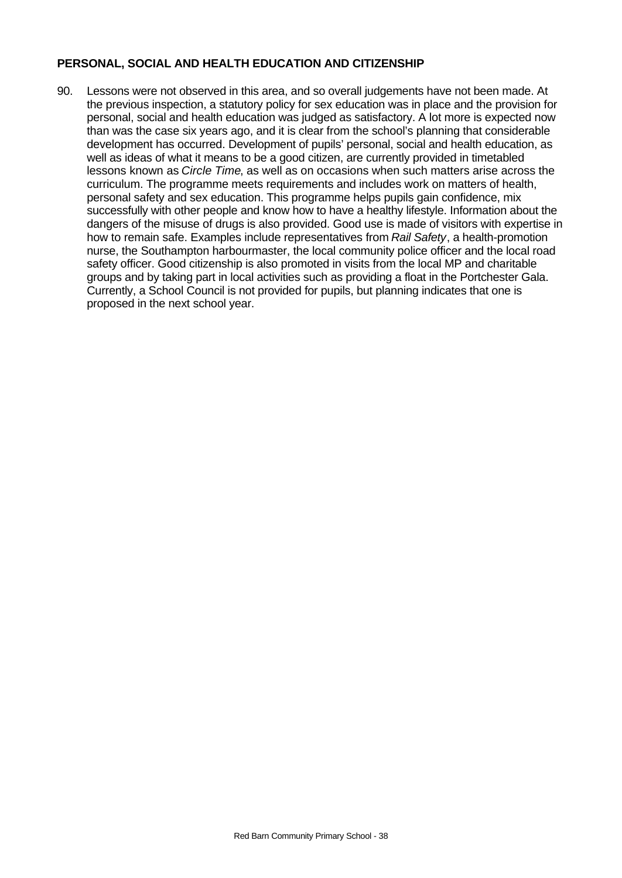## **PERSONAL, SOCIAL AND HEALTH EDUCATION AND CITIZENSHIP**

90. Lessons were not observed in this area, and so overall judgements have not been made. At the previous inspection, a statutory policy for sex education was in place and the provision for personal, social and health education was judged as satisfactory. A lot more is expected now than was the case six years ago, and it is clear from the school's planning that considerable development has occurred. Development of pupils' personal, social and health education, as well as ideas of what it means to be a good citizen, are currently provided in timetabled lessons known as *Circle Time*, as well as on occasions when such matters arise across the curriculum. The programme meets requirements and includes work on matters of health, personal safety and sex education. This programme helps pupils gain confidence, mix successfully with other people and know how to have a healthy lifestyle. Information about the dangers of the misuse of drugs is also provided. Good use is made of visitors with expertise in how to remain safe. Examples include representatives from *Rail Safety*, a health-promotion nurse, the Southampton harbourmaster, the local community police officer and the local road safety officer. Good citizenship is also promoted in visits from the local MP and charitable groups and by taking part in local activities such as providing a float in the Portchester Gala. Currently, a School Council is not provided for pupils, but planning indicates that one is proposed in the next school year.